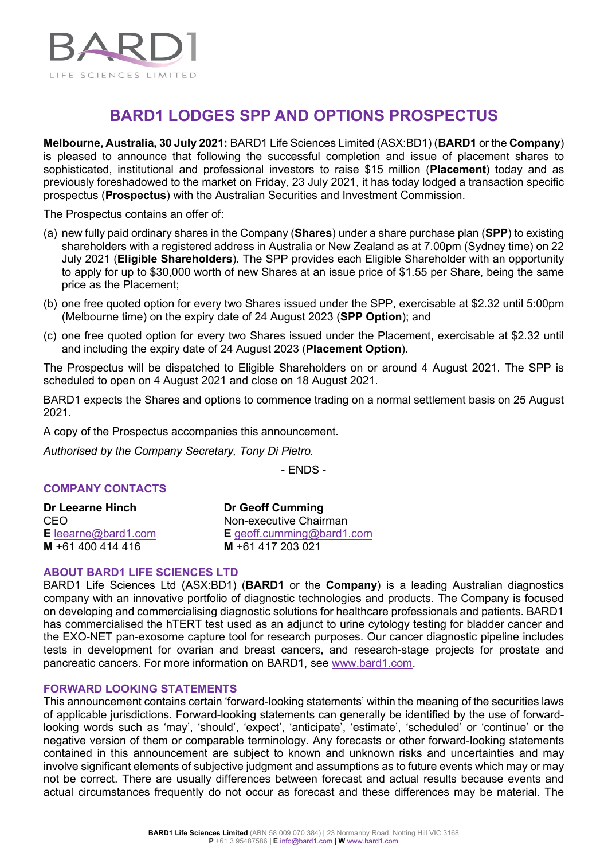

## **BARD1 LODGES SPP AND OPTIONS PROSPECTUS**

**Melbourne, Australia, 30 July 2021:** BARD1 Life Sciences Limited (ASX:BD1) (**BARD1** or the **Company**) is pleased to announce that following the successful completion and issue of placement shares to sophisticated, institutional and professional investors to raise \$15 million (**Placement**) today and as previously foreshadowed to the market on Friday, 23 July 2021, it has today lodged a transaction specific prospectus (**Prospectus**) with the Australian Securities and Investment Commission.

The Prospectus contains an offer of:

- (a) new fully paid ordinary shares in the Company (**Shares**) under a share purchase plan (**SPP**) to existing shareholders with a registered address in Australia or New Zealand as at 7.00pm (Sydney time) on 22 July 2021 (**Eligible Shareholders**). The SPP provides each Eligible Shareholder with an opportunity to apply for up to \$30,000 worth of new Shares at an issue price of \$1.55 per Share, being the same price as the Placement;
- (b) one free quoted option for every two Shares issued under the SPP, exercisable at \$2.32 until 5:00pm (Melbourne time) on the expiry date of 24 August 2023 (**SPP Option**); and
- (c) one free quoted option for every two Shares issued under the Placement, exercisable at \$2.32 until and including the expiry date of 24 August 2023 (**Placement Option**).

The Prospectus will be dispatched to Eligible Shareholders on or around 4 August 2021. The SPP is scheduled to open on 4 August 2021 and close on 18 August 2021.

BARD1 expects the Shares and options to commence trading on a normal settlement basis on 25 August 2021.

A copy of the Prospectus accompanies this announcement.

*Authorised by the Company Secretary, Tony Di Pietro.*

- ENDS -

#### **COMPANY CONTACTS**

| Dr Leearne Hinch           | <b>Dr Geoff Cumming</b>   |
|----------------------------|---------------------------|
| CEO.                       | Non-executive Chairman    |
| <b>E</b> leearne@bard1.com | E geoff.cumming@bard1.com |
| M +61 400 414 416          | M +61 417 203 021         |

#### **ABOUT BARD1 LIFE SCIENCES LTD**

BARD1 Life Sciences Ltd (ASX:BD1) (**BARD1** or the **Company**) is a leading Australian diagnostics company with an innovative portfolio of diagnostic technologies and products. The Company is focused on developing and commercialising diagnostic solutions for healthcare professionals and patients. BARD1 has commercialised the hTERT test used as an adjunct to urine cytology testing for bladder cancer and the EXO-NET pan-exosome capture tool for research purposes. Our cancer diagnostic pipeline includes tests in development for ovarian and breast cancers, and research-stage projects for prostate and pancreatic cancers. For more information on BARD1, see [www.bard1.com.](http://www.bard1.com/)

#### **FORWARD LOOKING STATEMENTS**

This announcement contains certain 'forward-looking statements' within the meaning of the securities laws of applicable jurisdictions. Forward-looking statements can generally be identified by the use of forwardlooking words such as 'may', 'should', 'expect', 'anticipate', 'estimate', 'scheduled' or 'continue' or the negative version of them or comparable terminology. Any forecasts or other forward-looking statements contained in this announcement are subject to known and unknown risks and uncertainties and may involve significant elements of subjective judgment and assumptions as to future events which may or may not be correct. There are usually differences between forecast and actual results because events and actual circumstances frequently do not occur as forecast and these differences may be material. The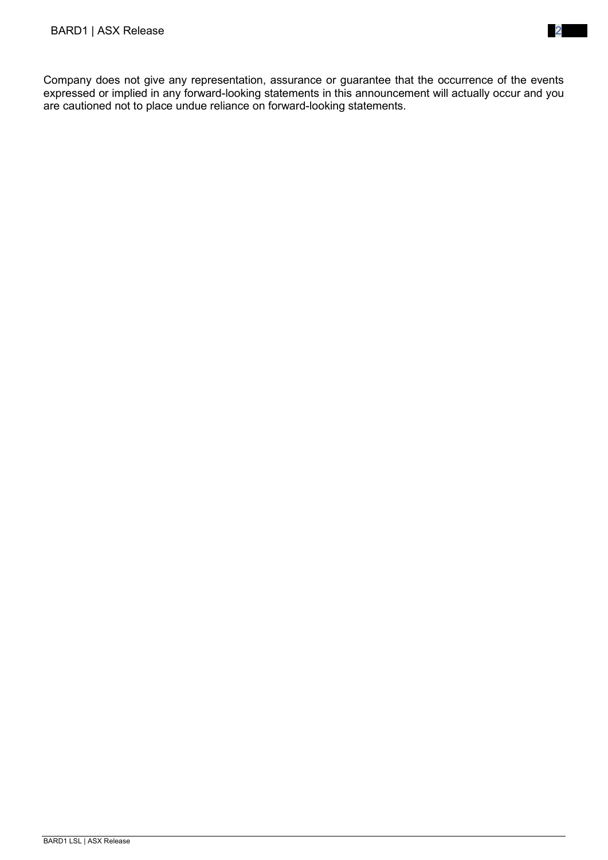Company does not give any representation, assurance or guarantee that the occurrence of the events expressed or implied in any forward-looking statements in this announcement will actually occur and you are cautioned not to place undue reliance on forward-looking statements.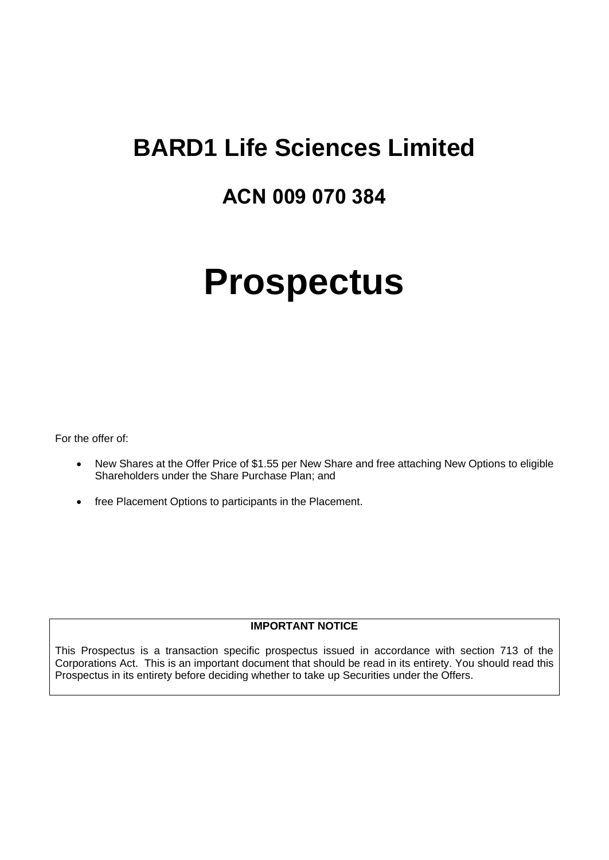## **BARD1 Life Sciences Limited**

## **ACN 009 070 384**

# **Prospectus**

For the offer of:

- New Shares at the Offer Price of \$1.55 per New Share and free attaching New Options to eligible Shareholders under the Share Purchase Plan; and
- free Placement Options to participants in the Placement.

#### **IMPORTANT NOTICE**

This Prospectus is a transaction specific prospectus issued in accordance with section 713 of the Corporations Act. This is an important document that should be read in its entirety. You should read this Prospectus in its entirety before deciding whether to take up Securities under the Offers.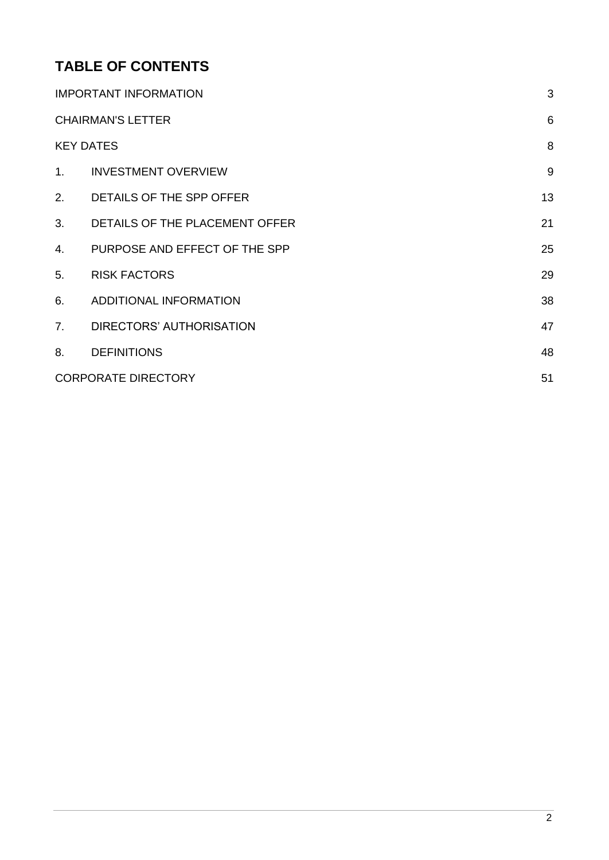## **TABLE OF CONTENTS**

|    | <b>IMPORTANT INFORMATION</b>   | 3  |
|----|--------------------------------|----|
|    | <b>CHAIRMAN'S LETTER</b>       | 6  |
|    | <b>KEY DATES</b>               | 8  |
| 1. | <b>INVESTMENT OVERVIEW</b>     | 9  |
| 2. | DETAILS OF THE SPP OFFER       | 13 |
| 3. | DETAILS OF THE PLACEMENT OFFER | 21 |
| 4. | PURPOSE AND EFFECT OF THE SPP  | 25 |
| 5. | <b>RISK FACTORS</b>            | 29 |
| 6. | ADDITIONAL INFORMATION         | 38 |
| 7. | DIRECTORS' AUTHORISATION       | 47 |
| 8. | <b>DEFINITIONS</b>             | 48 |
|    | <b>CORPORATE DIRECTORY</b>     | 51 |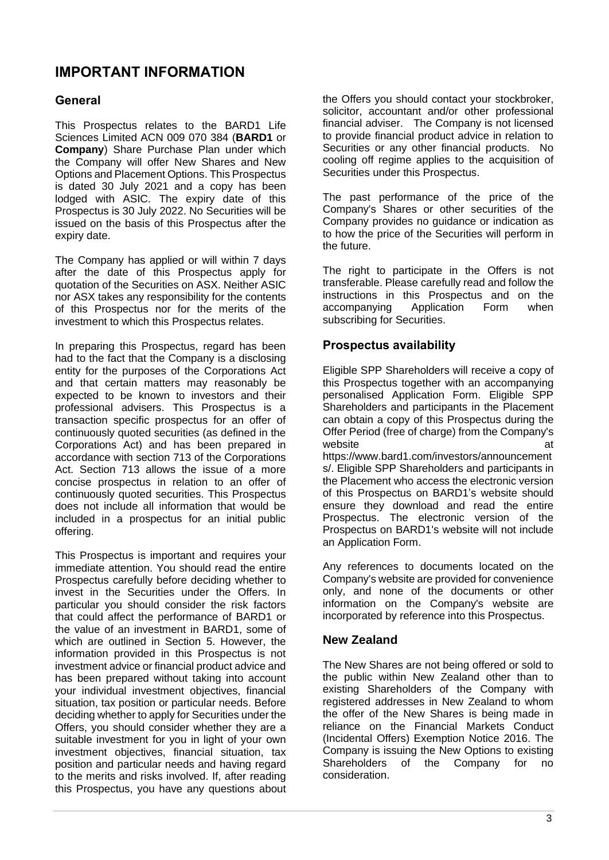## <span id="page-4-0"></span>**IMPORTANT INFORMATION**

#### **General**

This Prospectus relates to the BARD1 Life Sciences Limited ACN 009 070 384 (**BARD1** or **Company**) Share Purchase Plan under which the Company will offer New Shares and New Options and Placement Options. This Prospectus is dated 30 July 2021 and a copy has been lodged with ASIC. The expiry date of this Prospectus is 30 July 2022. No Securities will be issued on the basis of this Prospectus after the expiry date.

The Company has applied or will within 7 days after the date of this Prospectus apply for quotation of the Securities on ASX. Neither ASIC nor ASX takes any responsibility for the contents of this Prospectus nor for the merits of the investment to which this Prospectus relates.

In preparing this Prospectus, regard has been had to the fact that the Company is a disclosing entity for the purposes of the Corporations Act and that certain matters may reasonably be expected to be known to investors and their professional advisers. This Prospectus is a transaction specific prospectus for an offer of continuously quoted securities (as defined in the Corporations Act) and has been prepared in accordance with section 713 of the Corporations Act. Section 713 allows the issue of a more concise prospectus in relation to an offer of continuously quoted securities. This Prospectus does not include all information that would be included in a prospectus for an initial public offering.

This Prospectus is important and requires your immediate attention. You should read the entire Prospectus carefully before deciding whether to invest in the Securities under the Offers. In particular you should consider the risk factors that could affect the performance of BARD1 or the value of an investment in BARD1, some of which are outlined in Section [5.](#page-30-0) However, the information provided in this Prospectus is not investment advice or financial product advice and has been prepared without taking into account your individual investment objectives, financial situation, tax position or particular needs. Before deciding whether to apply for Securities under the Offers, you should consider whether they are a suitable investment for you in light of your own investment objectives, financial situation, tax position and particular needs and having regard to the merits and risks involved. If, after reading this Prospectus, you have any questions about the Offers you should contact your stockbroker, solicitor, accountant and/or other professional financial adviser. The Company is not licensed to provide financial product advice in relation to Securities or any other financial products. No cooling off regime applies to the acquisition of Securities under this Prospectus.

The past performance of the price of the Company's Shares or other securities of the Company provides no guidance or indication as to how the price of the Securities will perform in the future.

The right to participate in the Offers is not transferable. Please carefully read and follow the instructions in this Prospectus and on the accompanying Application Form when accompanying Application Form when subscribing for Securities.

#### **Prospectus availability**

Eligible SPP Shareholders will receive a copy of this Prospectus together with an accompanying personalised Application Form. Eligible SPP Shareholders and participants in the Placement can obtain a copy of this Prospectus during the Offer Period (free of charge) from the Company's website at the state at the state at the state at the state at the state at the state at the state at the state at  $\alpha$ https://www.bard1.com/investors/announcement s/. Eligible SPP Shareholders and participants in the Placement who access the electronic version of this Prospectus on BARD1's website should ensure they download and read the entire Prospectus. The electronic version of the Prospectus on BARD1's website will not include an Application Form.

Any references to documents located on the Company's website are provided for convenience only, and none of the documents or other information on the Company's website are incorporated by reference into this Prospectus.

#### **New Zealand**

The New Shares are not being offered or sold to the public within New Zealand other than to existing Shareholders of the Company with registered addresses in New Zealand to whom the offer of the New Shares is being made in reliance on the Financial Markets Conduct (Incidental Offers) Exemption Notice 2016. The Company is issuing the New Options to existing Shareholders of the Company for no consideration.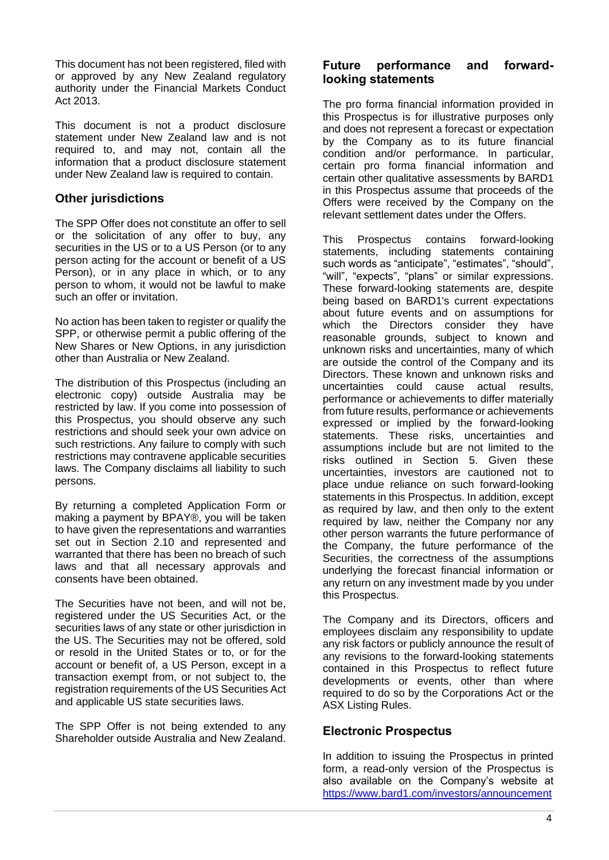This document has not been registered, filed with or approved by any New Zealand regulatory authority under the Financial Markets Conduct Act 2013.

This document is not a product disclosure statement under New Zealand law and is not required to, and may not, contain all the information that a product disclosure statement under New Zealand law is required to contain.

#### **Other jurisdictions**

The SPP Offer does not constitute an offer to sell or the solicitation of any offer to buy, any securities in the US or to a US Person (or to any person acting for the account or benefit of a US Person), or in any place in which, or to any person to whom, it would not be lawful to make such an offer or invitation.

No action has been taken to register or qualify the SPP, or otherwise permit a public offering of the New Shares or New Options, in any jurisdiction other than Australia or New Zealand.

The distribution of this Prospectus (including an electronic copy) outside Australia may be restricted by law. If you come into possession of this Prospectus, you should observe any such restrictions and should seek your own advice on such restrictions. Any failure to comply with such restrictions may contravene applicable securities laws. The Company disclaims all liability to such persons.

By returning a completed Application Form or making a payment by BPAY®, you will be taken to have given the representations and warranties set out in Section [2.10](#page-18-0) and represented and warranted that there has been no breach of such laws and that all necessary approvals and consents have been obtained.

The Securities have not been, and will not be, registered under the US Securities Act, or the securities laws of any state or other jurisdiction in the US. The Securities may not be offered, sold or resold in the United States or to, or for the account or benefit of, a US Person, except in a transaction exempt from, or not subject to, the registration requirements of the US Securities Act and applicable US state securities laws.

The SPP Offer is not being extended to any Shareholder outside Australia and New Zealand.

#### **Future performance and forwardlooking statements**

The pro forma financial information provided in this Prospectus is for illustrative purposes only and does not represent a forecast or expectation by the Company as to its future financial condition and/or performance. In particular, certain pro forma financial information and certain other qualitative assessments by BARD1 in this Prospectus assume that proceeds of the Offers were received by the Company on the relevant settlement dates under the Offers.

This Prospectus contains forward-looking statements, including statements containing such words as "anticipate", "estimates", "should", "will", "expects", "plans" or similar expressions. These forward-looking statements are, despite being based on BARD1's current expectations about future events and on assumptions for which the Directors consider they have reasonable grounds, subject to known and unknown risks and uncertainties, many of which are outside the control of the Company and its Directors. These known and unknown risks and uncertainties could cause actual results, performance or achievements to differ materially from future results, performance or achievements expressed or implied by the forward-looking statements. These risks, uncertainties and assumptions include but are not limited to the risks outlined in Section [5.](#page-30-0) Given these uncertainties, investors are cautioned not to place undue reliance on such forward-looking statements in this Prospectus. In addition, except as required by law, and then only to the extent required by law, neither the Company nor any other person warrants the future performance of the Company, the future performance of the Securities, the correctness of the assumptions underlying the forecast financial information or any return on any investment made by you under this Prospectus.

The Company and its Directors, officers and employees disclaim any responsibility to update any risk factors or publicly announce the result of any revisions to the forward-looking statements contained in this Prospectus to reflect future developments or events, other than where required to do so by the Corporations Act or the ASX Listing Rules.

#### **Electronic Prospectus**

In addition to issuing the Prospectus in printed form, a read-only version of the Prospectus is also available on the Company's website at [https://www.bard1.com/investors/announcement](https://www.bard1.com/investors/prospectus/)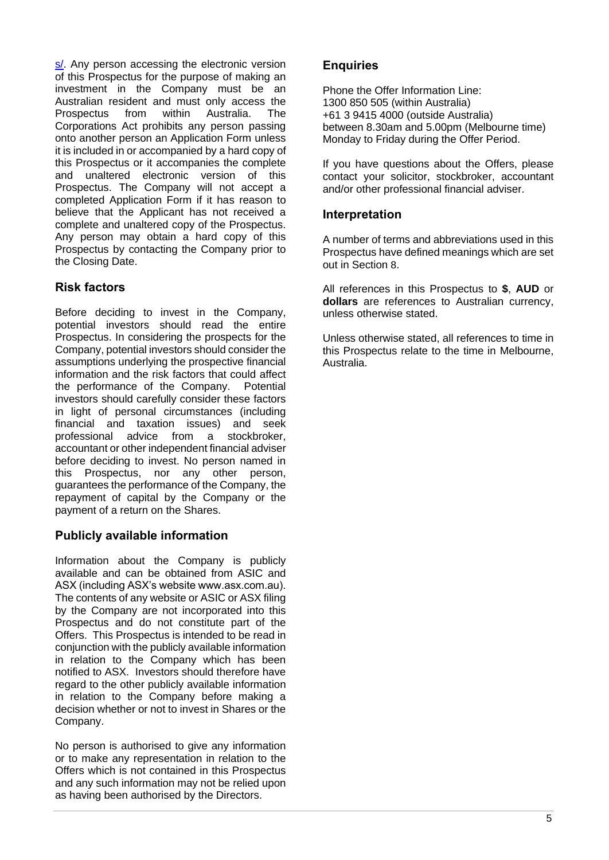[s/.](https://www.bard1.com/investors/prospectus/) Any person accessing the electronic version of this Prospectus for the purpose of making an investment in the Company must be an Australian resident and must only access the Prospectus from within Australia. The Corporations Act prohibits any person passing onto another person an Application Form unless it is included in or accompanied by a hard copy of this Prospectus or it accompanies the complete and unaltered electronic version of this Prospectus. The Company will not accept a completed Application Form if it has reason to believe that the Applicant has not received a complete and unaltered copy of the Prospectus. Any person may obtain a hard copy of this Prospectus by contacting the Company prior to the Closing Date.

#### **Risk factors**

Before deciding to invest in the Company, potential investors should read the entire Prospectus. In considering the prospects for the Company, potential investors should consider the assumptions underlying the prospective financial information and the risk factors that could affect the performance of the Company. Potential investors should carefully consider these factors in light of personal circumstances (including financial and taxation issues) and seek professional advice from a stockbroker, accountant or other independent financial adviser before deciding to invest. No person named in this Prospectus, nor any other person, guarantees the performance of the Company, the repayment of capital by the Company or the payment of a return on the Shares.

#### **Publicly available information**

Information about the Company is publicly available and can be obtained from ASIC and ASX (including ASX's website www.asx.com.au). The contents of any website or ASIC or ASX filing by the Company are not incorporated into this Prospectus and do not constitute part of the Offers. This Prospectus is intended to be read in conjunction with the publicly available information in relation to the Company which has been notified to ASX. Investors should therefore have regard to the other publicly available information in relation to the Company before making a decision whether or not to invest in Shares or the Company.

No person is authorised to give any information or to make any representation in relation to the Offers which is not contained in this Prospectus and any such information may not be relied upon as having been authorised by the Directors.

#### **Enquiries**

Phone the Offer Information Line: 1300 850 505 (within Australia) +61 3 9415 4000 (outside Australia) between 8.30am and 5.00pm (Melbourne time) Monday to Friday during the Offer Period.

If you have questions about the Offers, please contact your solicitor, stockbroker, accountant and/or other professional financial adviser.

#### **Interpretation**

A number of terms and abbreviations used in this Prospectus have defined meanings which are set out in Section [8](#page-49-0).

All references in this Prospectus to **\$**, **AUD** or **dollars** are references to Australian currency, unless otherwise stated.

Unless otherwise stated, all references to time in this Prospectus relate to the time in Melbourne, Australia.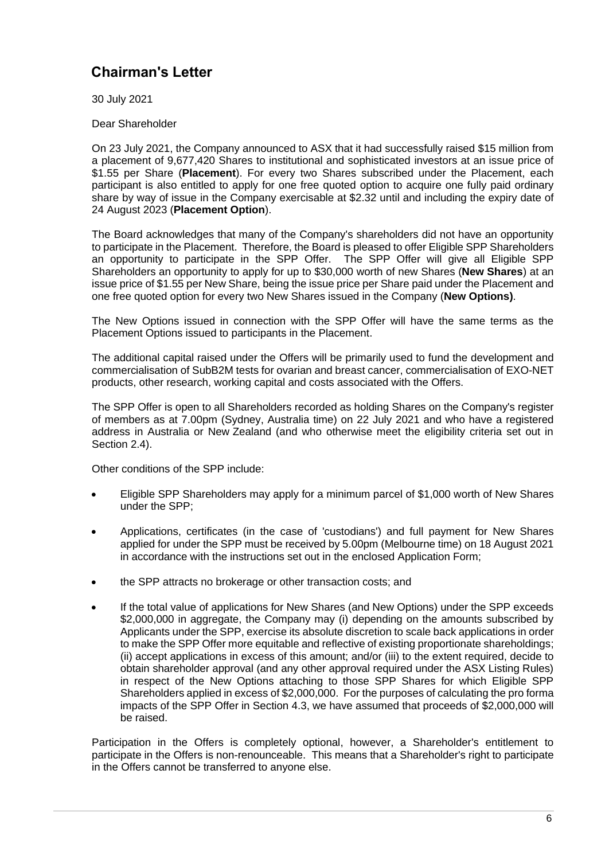## <span id="page-7-0"></span>**Chairman's Letter**

30 July 2021

Dear Shareholder

On 23 July 2021, the Company announced to ASX that it had successfully raised \$15 million from a placement of 9,677,420 Shares to institutional and sophisticated investors at an issue price of \$1.55 per Share (**Placement**). For every two Shares subscribed under the Placement, each participant is also entitled to apply for one free quoted option to acquire one fully paid ordinary share by way of issue in the Company exercisable at \$2.32 until and including the expiry date of 24 August 2023 (**Placement Option**).

The Board acknowledges that many of the Company's shareholders did not have an opportunity to participate in the Placement. Therefore, the Board is pleased to offer Eligible SPP Shareholders an opportunity to participate in the SPP Offer. The SPP Offer will give all Eligible SPP Shareholders an opportunity to apply for up to \$30,000 worth of new Shares (**New Shares**) at an issue price of \$1.55 per New Share, being the issue price per Share paid under the Placement and one free quoted option for every two New Shares issued in the Company (**New Options)**.

The New Options issued in connection with the SPP Offer will have the same terms as the Placement Options issued to participants in the Placement.

The additional capital raised under the Offers will be primarily used to fund the development and commercialisation of SubB2M tests for ovarian and breast cancer, commercialisation of EXO-NET products, other research, working capital and costs associated with the Offers.

The SPP Offer is open to all Shareholders recorded as holding Shares on the Company's register of members as at 7.00pm (Sydney, Australia time) on 22 July 2021 and who have a registered address in Australia or New Zealand (and who otherwise meet the eligibility criteria set out in Section [2.4\)](#page-15-0).

Other conditions of the SPP include:

- Eligible SPP Shareholders may apply for a minimum parcel of \$1,000 worth of New Shares under the SPP;
- Applications, certificates (in the case of 'custodians') and full payment for New Shares applied for under the SPP must be received by 5.00pm (Melbourne time) on 18 August 2021 in accordance with the instructions set out in the enclosed Application Form;
- the SPP attracts no brokerage or other transaction costs; and
- If the total value of applications for New Shares (and New Options) under the SPP exceeds \$2,000,000 in aggregate, the Company may (i) depending on the amounts subscribed by Applicants under the SPP, exercise its absolute discretion to scale back applications in order to make the SPP Offer more equitable and reflective of existing proportionate shareholdings; (ii) accept applications in excess of this amount; and/or (iii) to the extent required, decide to obtain shareholder approval (and any other approval required under the ASX Listing Rules) in respect of the New Options attaching to those SPP Shares for which Eligible SPP Shareholders applied in excess of \$2,000,000. For the purposes of calculating the pro forma impacts of the SPP Offer in Section [4.3,](#page-27-0) we have assumed that proceeds of \$2,000,000 will be raised.

Participation in the Offers is completely optional, however, a Shareholder's entitlement to participate in the Offers is non-renounceable. This means that a Shareholder's right to participate in the Offers cannot be transferred to anyone else.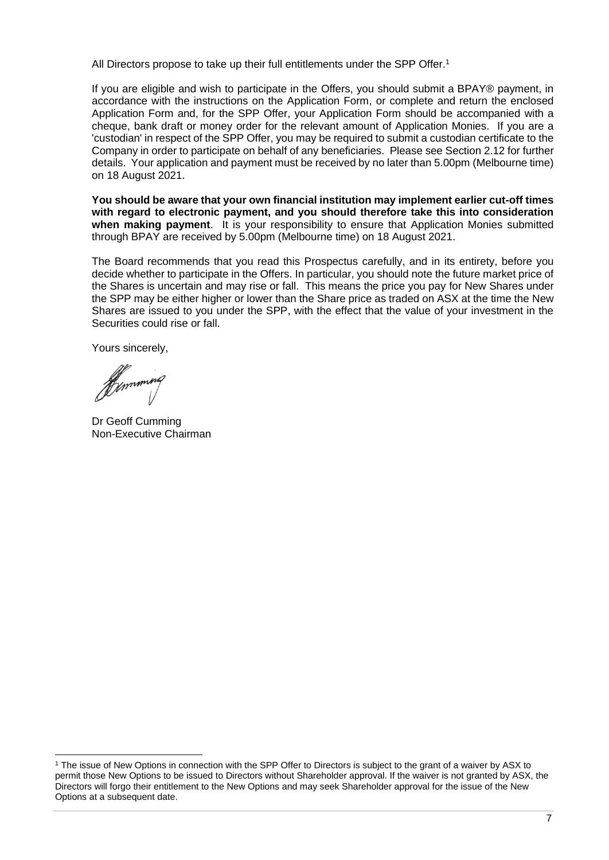All Directors propose to take up their full entitlements under the SPP Offer. 1

If you are eligible and wish to participate in the Offers, you should submit a BPAY® payment, in accordance with the instructions on the Application Form, or complete and return the enclosed Application Form and, for the SPP Offer, your Application Form should be accompanied with a cheque, bank draft or money order for the relevant amount of Application Monies. If you are a 'custodian' in respect of the SPP Offer, you may be required to submit a custodian certificate to the Company in order to participate on behalf of any beneficiaries. Please see Section [2.12](#page-19-0) for further details. Your application and payment must be received by no later than 5.00pm (Melbourne time) on 18 August 2021.

**You should be aware that your own financial institution may implement earlier cut-off times with regard to electronic payment, and you should therefore take this into consideration when making payment**. It is your responsibility to ensure that Application Monies submitted through BPAY are received by 5.00pm (Melbourne time) on 18 August 2021.

The Board recommends that you read this Prospectus carefully, and in its entirety, before you decide whether to participate in the Offers. In particular, you should note the future market price of the Shares is uncertain and may rise or fall. This means the price you pay for New Shares under the SPP may be either higher or lower than the Share price as traded on ASX at the time the New Shares are issued to you under the SPP, with the effect that the value of your investment in the Securities could rise or fall.

Yours sincerely,

Hymmmng

Dr Geoff Cumming Non-Executive Chairman

<sup>1</sup> The issue of New Options in connection with the SPP Offer to Directors is subject to the grant of a waiver by ASX to permit those New Options to be issued to Directors without Shareholder approval. If the waiver is not granted by ASX, the Directors will forgo their entitlement to the New Options and may seek Shareholder approval for the issue of the New Options at a subsequent date.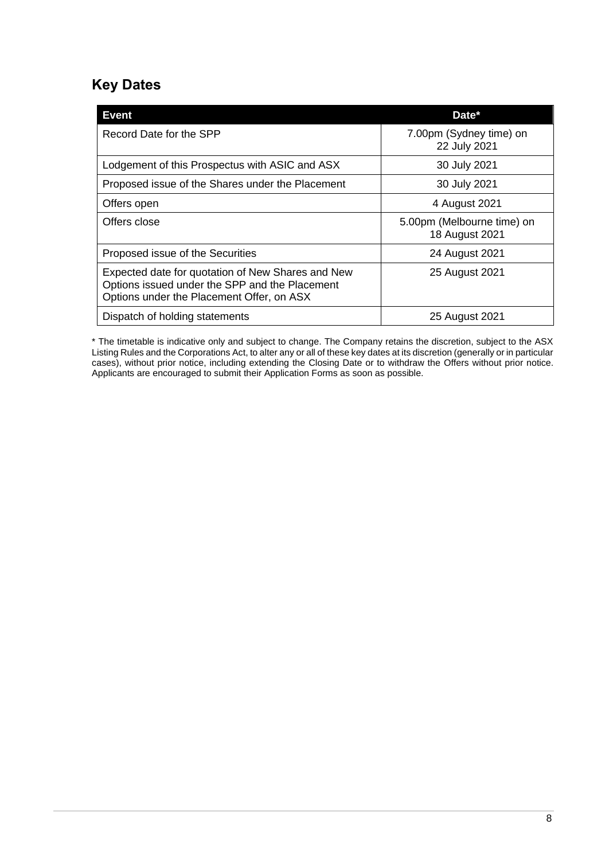## <span id="page-9-0"></span>**Key Dates**

| <b>Event</b>                                                                                                                                     | Date*                                        |
|--------------------------------------------------------------------------------------------------------------------------------------------------|----------------------------------------------|
| Record Date for the SPP                                                                                                                          | 7.00pm (Sydney time) on<br>22 July 2021      |
| Lodgement of this Prospectus with ASIC and ASX                                                                                                   | 30 July 2021                                 |
| Proposed issue of the Shares under the Placement                                                                                                 | 30 July 2021                                 |
| Offers open                                                                                                                                      | 4 August 2021                                |
| Offers close                                                                                                                                     | 5.00pm (Melbourne time) on<br>18 August 2021 |
| Proposed issue of the Securities                                                                                                                 | 24 August 2021                               |
| Expected date for quotation of New Shares and New<br>Options issued under the SPP and the Placement<br>Options under the Placement Offer, on ASX | 25 August 2021                               |
| Dispatch of holding statements                                                                                                                   | 25 August 2021                               |

\* The timetable is indicative only and subject to change. The Company retains the discretion, subject to the ASX Listing Rules and the Corporations Act, to alter any or all of these key dates at its discretion (generally or in particular cases), without prior notice, including extending the Closing Date or to withdraw the Offers without prior notice. Applicants are encouraged to submit their Application Forms as soon as possible.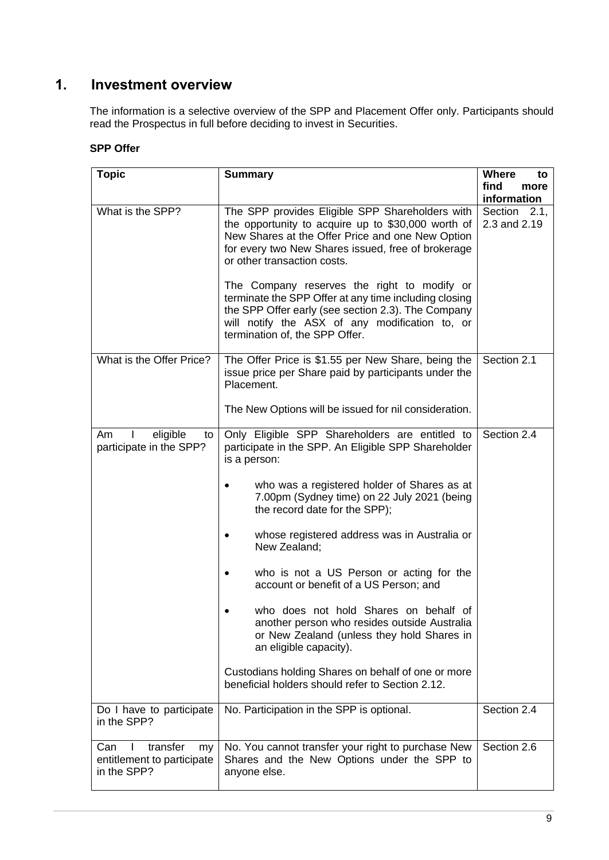## <span id="page-10-0"></span>**1. Investment overview**

The information is a selective overview of the SPP and Placement Offer only. Participants should read the Prospectus in full before deciding to invest in Securities.

#### **SPP Offer**

| <b>Topic</b>                                                       | <b>Summary</b>                                                                                                                                                                                                                                                                                                                                                                                                                                                                                                                                                                                                                                                                                  | <b>Where</b><br>to           |
|--------------------------------------------------------------------|-------------------------------------------------------------------------------------------------------------------------------------------------------------------------------------------------------------------------------------------------------------------------------------------------------------------------------------------------------------------------------------------------------------------------------------------------------------------------------------------------------------------------------------------------------------------------------------------------------------------------------------------------------------------------------------------------|------------------------------|
|                                                                    |                                                                                                                                                                                                                                                                                                                                                                                                                                                                                                                                                                                                                                                                                                 | find<br>more                 |
|                                                                    |                                                                                                                                                                                                                                                                                                                                                                                                                                                                                                                                                                                                                                                                                                 | information                  |
| What is the SPP?                                                   | The SPP provides Eligible SPP Shareholders with<br>the opportunity to acquire up to \$30,000 worth of<br>New Shares at the Offer Price and one New Option<br>for every two New Shares issued, free of brokerage<br>or other transaction costs.<br>The Company reserves the right to modify or<br>terminate the SPP Offer at any time including closing<br>the SPP Offer early (see section 2.3). The Company<br>will notify the ASX of any modification to, or<br>termination of, the SPP Offer.                                                                                                                                                                                                | Section 2.1,<br>2.3 and 2.19 |
| What is the Offer Price?                                           | The Offer Price is \$1.55 per New Share, being the<br>issue price per Share paid by participants under the<br>Placement.<br>The New Options will be issued for nil consideration.                                                                                                                                                                                                                                                                                                                                                                                                                                                                                                               | Section 2.1                  |
|                                                                    |                                                                                                                                                                                                                                                                                                                                                                                                                                                                                                                                                                                                                                                                                                 |                              |
| eligible<br>Am<br>to<br>participate in the SPP?                    | Only Eligible SPP Shareholders are entitled to<br>participate in the SPP. An Eligible SPP Shareholder<br>is a person:<br>who was a registered holder of Shares as at<br>7.00pm (Sydney time) on 22 July 2021 (being<br>the record date for the SPP);<br>whose registered address was in Australia or<br>٠<br>New Zealand;<br>who is not a US Person or acting for the<br>٠<br>account or benefit of a US Person; and<br>who does not hold Shares on behalf of<br>another person who resides outside Australia<br>or New Zealand (unless they hold Shares in<br>an eligible capacity).<br>Custodians holding Shares on behalf of one or more<br>beneficial holders should refer to Section 2.12. | Section 2.4                  |
| Do I have to participate<br>in the SPP?                            | No. Participation in the SPP is optional.                                                                                                                                                                                                                                                                                                                                                                                                                                                                                                                                                                                                                                                       | Section 2.4                  |
|                                                                    |                                                                                                                                                                                                                                                                                                                                                                                                                                                                                                                                                                                                                                                                                                 |                              |
| transfer<br>Can<br>my<br>entitlement to participate<br>in the SPP? | No. You cannot transfer your right to purchase New<br>Shares and the New Options under the SPP to<br>anyone else.                                                                                                                                                                                                                                                                                                                                                                                                                                                                                                                                                                               | Section 2.6                  |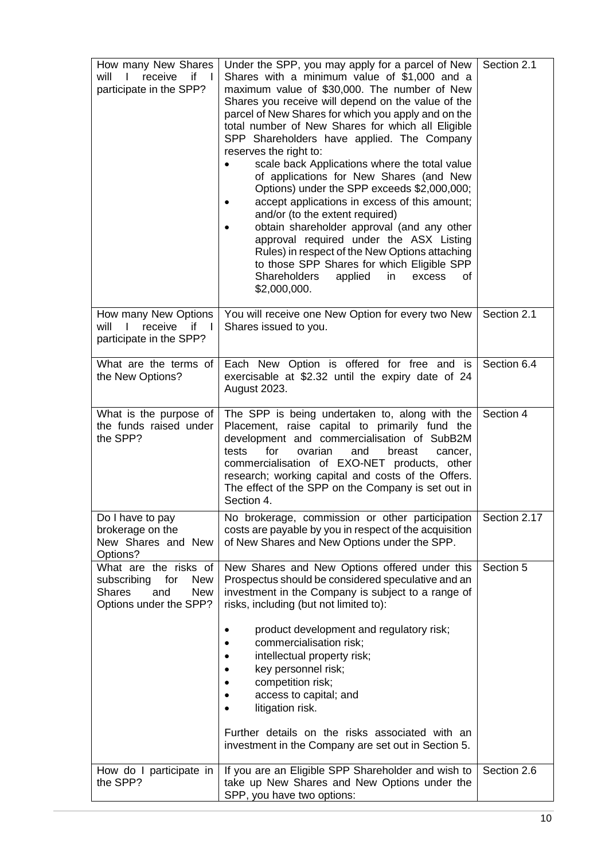| How many New Shares<br>if<br>receive<br>will<br>a sa T<br>$\mathbf{I}$<br>participate in the SPP?                      | Under the SPP, you may apply for a parcel of New<br>Shares with a minimum value of \$1,000 and a<br>maximum value of \$30,000. The number of New<br>Shares you receive will depend on the value of the<br>parcel of New Shares for which you apply and on the<br>total number of New Shares for which all Eligible<br>SPP Shareholders have applied. The Company<br>reserves the right to:<br>scale back Applications where the total value<br>of applications for New Shares (and New<br>Options) under the SPP exceeds \$2,000,000;<br>accept applications in excess of this amount;<br>and/or (to the extent required)<br>obtain shareholder approval (and any other<br>approval required under the ASX Listing<br>Rules) in respect of the New Options attaching<br>to those SPP Shares for which Eligible SPP<br><b>Shareholders</b><br>applied<br>in<br>excess<br>οf<br>\$2,000,000. | Section 2.1  |
|------------------------------------------------------------------------------------------------------------------------|--------------------------------------------------------------------------------------------------------------------------------------------------------------------------------------------------------------------------------------------------------------------------------------------------------------------------------------------------------------------------------------------------------------------------------------------------------------------------------------------------------------------------------------------------------------------------------------------------------------------------------------------------------------------------------------------------------------------------------------------------------------------------------------------------------------------------------------------------------------------------------------------|--------------|
| How many New Options<br>will<br>receive<br>if<br>- 1<br>participate in the SPP?                                        | You will receive one New Option for every two New<br>Shares issued to you.                                                                                                                                                                                                                                                                                                                                                                                                                                                                                                                                                                                                                                                                                                                                                                                                                 | Section 2.1  |
| What are the terms of<br>the New Options?                                                                              | Each New Option is offered for free and is<br>exercisable at \$2.32 until the expiry date of 24<br>August 2023.                                                                                                                                                                                                                                                                                                                                                                                                                                                                                                                                                                                                                                                                                                                                                                            | Section 6.4  |
| What is the purpose of<br>the funds raised under<br>the SPP?                                                           | The SPP is being undertaken to, along with the<br>Placement, raise capital to primarily fund the<br>development and commercialisation of SubB2M<br>for<br>tests<br>ovarian<br>and<br>breast<br>cancer,<br>commercialisation of EXO-NET products, other<br>research; working capital and costs of the Offers.<br>The effect of the SPP on the Company is set out in<br>Section 4.                                                                                                                                                                                                                                                                                                                                                                                                                                                                                                           | Section 4    |
| Do I have to pay<br>brokerage on the<br>New Shares and New<br>Options?                                                 | No brokerage, commission or other participation<br>costs are payable by you in respect of the acquisition<br>of New Shares and New Options under the SPP.                                                                                                                                                                                                                                                                                                                                                                                                                                                                                                                                                                                                                                                                                                                                  | Section 2.17 |
| What are the risks of<br>subscribing for<br><b>New</b><br><b>Shares</b><br><b>New</b><br>and<br>Options under the SPP? | New Shares and New Options offered under this<br>Prospectus should be considered speculative and an<br>investment in the Company is subject to a range of<br>risks, including (but not limited to):<br>product development and regulatory risk;<br>commercialisation risk;<br>intellectual property risk;<br>key personnel risk;<br>competition risk;<br>access to capital; and<br>litigation risk.<br>Further details on the risks associated with an<br>investment in the Company are set out in Section 5.                                                                                                                                                                                                                                                                                                                                                                              | Section 5    |
| How do I participate in<br>the SPP?                                                                                    | If you are an Eligible SPP Shareholder and wish to<br>take up New Shares and New Options under the<br>SPP, you have two options:                                                                                                                                                                                                                                                                                                                                                                                                                                                                                                                                                                                                                                                                                                                                                           | Section 2.6  |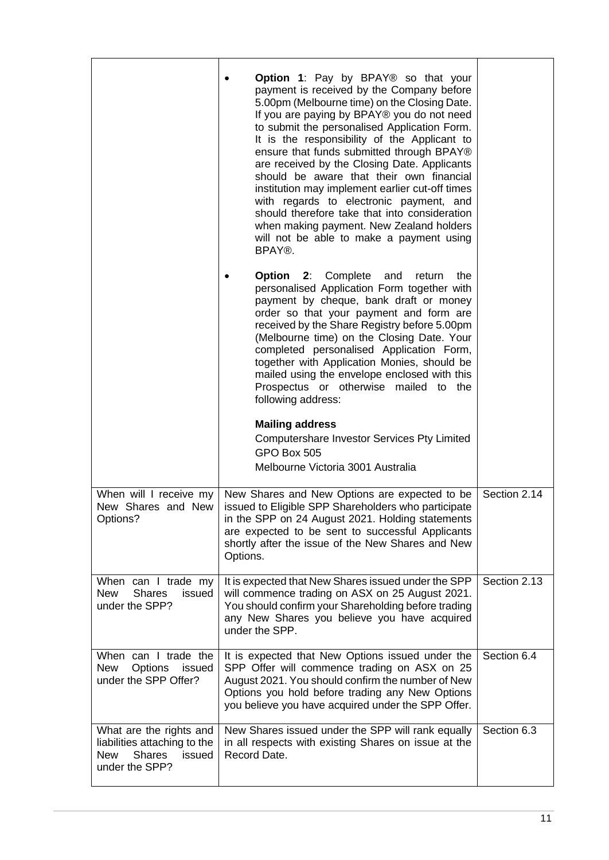|                                                                                                                    | <b>Option 1:</b> Pay by BPAY® so that your<br>payment is received by the Company before<br>5.00pm (Melbourne time) on the Closing Date.<br>If you are paying by BPAY® you do not need<br>to submit the personalised Application Form.<br>It is the responsibility of the Applicant to<br>ensure that funds submitted through BPAY®<br>are received by the Closing Date. Applicants<br>should be aware that their own financial<br>institution may implement earlier cut-off times<br>with regards to electronic payment, and<br>should therefore take that into consideration<br>when making payment. New Zealand holders<br>will not be able to make a payment using<br>BPAY®.<br><b>Option 2: Complete and</b><br>the<br>return<br>personalised Application Form together with<br>payment by cheque, bank draft or money<br>order so that your payment and form are<br>received by the Share Registry before 5.00pm<br>(Melbourne time) on the Closing Date. Your<br>completed personalised Application Form,<br>together with Application Monies, should be<br>mailed using the envelope enclosed with this<br>Prospectus or otherwise mailed to the<br>following address:<br><b>Mailing address</b><br>Computershare Investor Services Pty Limited<br>GPO Box 505<br>Melbourne Victoria 3001 Australia |              |
|--------------------------------------------------------------------------------------------------------------------|------------------------------------------------------------------------------------------------------------------------------------------------------------------------------------------------------------------------------------------------------------------------------------------------------------------------------------------------------------------------------------------------------------------------------------------------------------------------------------------------------------------------------------------------------------------------------------------------------------------------------------------------------------------------------------------------------------------------------------------------------------------------------------------------------------------------------------------------------------------------------------------------------------------------------------------------------------------------------------------------------------------------------------------------------------------------------------------------------------------------------------------------------------------------------------------------------------------------------------------------------------------------------------------------------------|--------------|
| When will I receive my<br>New Shares and New<br>Options?                                                           | New Shares and New Options are expected to be<br>issued to Eligible SPP Shareholders who participate<br>in the SPP on 24 August 2021. Holding statements<br>are expected to be sent to successful Applicants<br>shortly after the issue of the New Shares and New<br>Options.                                                                                                                                                                                                                                                                                                                                                                                                                                                                                                                                                                                                                                                                                                                                                                                                                                                                                                                                                                                                                              | Section 2.14 |
| When can I trade my<br><b>New</b><br><b>Shares</b><br>issued<br>under the SPP?                                     | It is expected that New Shares issued under the SPP<br>will commence trading on ASX on 25 August 2021.<br>You should confirm your Shareholding before trading<br>any New Shares you believe you have acquired<br>under the SPP.                                                                                                                                                                                                                                                                                                                                                                                                                                                                                                                                                                                                                                                                                                                                                                                                                                                                                                                                                                                                                                                                            | Section 2.13 |
| When can I trade the<br><b>New</b><br><b>Options</b><br>issued<br>under the SPP Offer?                             | It is expected that New Options issued under the<br>SPP Offer will commence trading on ASX on 25<br>August 2021. You should confirm the number of New<br>Options you hold before trading any New Options<br>you believe you have acquired under the SPP Offer.                                                                                                                                                                                                                                                                                                                                                                                                                                                                                                                                                                                                                                                                                                                                                                                                                                                                                                                                                                                                                                             | Section 6.4  |
| What are the rights and<br>liabilities attaching to the<br><b>Shares</b><br><b>New</b><br>issued<br>under the SPP? | New Shares issued under the SPP will rank equally<br>in all respects with existing Shares on issue at the<br>Record Date.                                                                                                                                                                                                                                                                                                                                                                                                                                                                                                                                                                                                                                                                                                                                                                                                                                                                                                                                                                                                                                                                                                                                                                                  | Section 6.3  |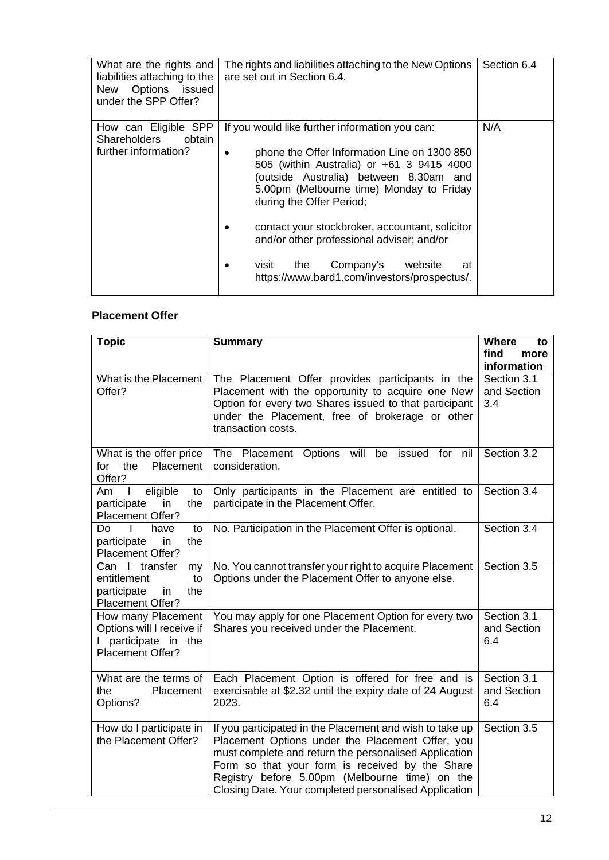| What are the rights and<br>liabilities attaching to the<br>New Options<br>issued<br>under the SPP Offer? | The rights and liabilities attaching to the New Options<br>are set out in Section 6.4.                                                                                                                                                                        | Section 6.4 |
|----------------------------------------------------------------------------------------------------------|---------------------------------------------------------------------------------------------------------------------------------------------------------------------------------------------------------------------------------------------------------------|-------------|
| How can Eligible SPP<br><b>Shareholders</b><br>obtain<br>further information?                            | If you would like further information you can:<br>phone the Offer Information Line on 1300 850<br>505 (within Australia) or +61 3 9415 4000<br>(outside Australia) between 8.30am and<br>5.00pm (Melbourne time) Monday to Friday<br>during the Offer Period; | N/A         |
|                                                                                                          | contact your stockbroker, accountant, solicitor<br>and/or other professional adviser; and/or<br>Company's<br>visit<br>the<br>website<br>at<br>https://www.bard1.com/investors/prospectus/.                                                                    |             |

#### **Placement Offer**

| <b>Topic</b>                                                                                | <b>Summary</b>                                                                                                                                                                                                                                                                                                                      | <b>Where</b><br>to<br>find<br>more<br>information |
|---------------------------------------------------------------------------------------------|-------------------------------------------------------------------------------------------------------------------------------------------------------------------------------------------------------------------------------------------------------------------------------------------------------------------------------------|---------------------------------------------------|
| What is the Placement<br>Offer?                                                             | The Placement Offer provides participants in the<br>Placement with the opportunity to acquire one New<br>Option for every two Shares issued to that participant<br>under the Placement, free of brokerage or other<br>transaction costs.                                                                                            | Section 3.1<br>and Section<br>3.4                 |
| What is the offer price<br>Placement<br>the<br>for<br>Offer?                                | The Placement Options will be<br>issued for nil<br>consideration.                                                                                                                                                                                                                                                                   | Section 3.2                                       |
| eligible<br>Am<br>L<br>to<br>participate<br>in<br>the<br>Placement Offer?                   | Only participants in the Placement are entitled to<br>participate in the Placement Offer.                                                                                                                                                                                                                                           | Section 3.4                                       |
| Do.<br>$\mathbf{I}$<br>have<br>to<br>participate<br>the<br>in<br>Placement Offer?           | No. Participation in the Placement Offer is optional.                                                                                                                                                                                                                                                                               | Section 3.4                                       |
| Can I transfer<br>my<br>entitlement<br>to<br>participate<br>the<br>in<br>Placement Offer?   | No. You cannot transfer your right to acquire Placement<br>Options under the Placement Offer to anyone else.                                                                                                                                                                                                                        | Section 3.5                                       |
| How many Placement<br>Options will I receive if<br>I participate in the<br>Placement Offer? | You may apply for one Placement Option for every two<br>Shares you received under the Placement.                                                                                                                                                                                                                                    | Section 3.1<br>and Section<br>6.4                 |
| What are the terms of<br>the<br>Placement<br>Options?                                       | Each Placement Option is offered for free and is<br>exercisable at \$2.32 until the expiry date of 24 August<br>2023.                                                                                                                                                                                                               | Section 3.1<br>and Section<br>6.4                 |
| How do I participate in<br>the Placement Offer?                                             | If you participated in the Placement and wish to take up<br>Placement Options under the Placement Offer, you<br>must complete and return the personalised Application<br>Form so that your form is received by the Share<br>Registry before 5.00pm (Melbourne time) on the<br>Closing Date. Your completed personalised Application | Section 3.5                                       |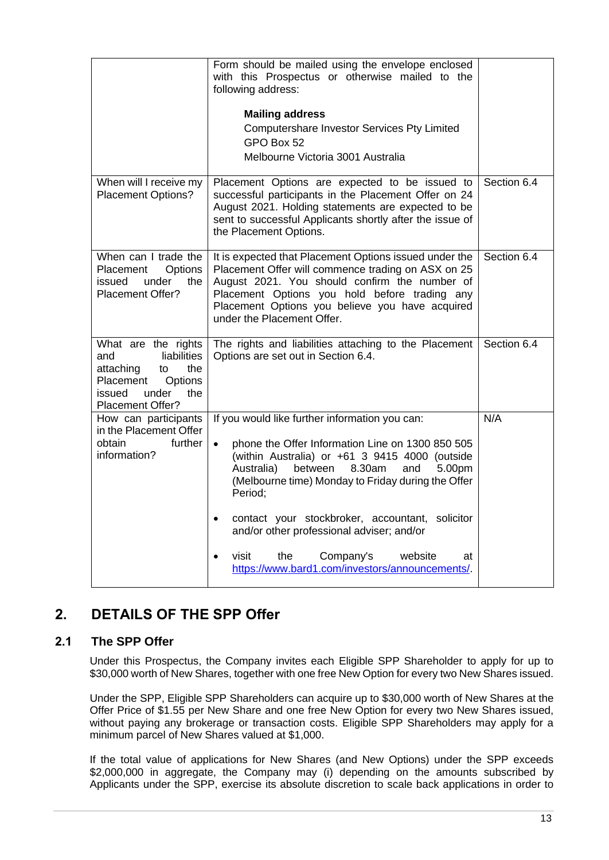|                                                                                                                                           | Form should be mailed using the envelope enclosed<br>with this Prospectus or otherwise mailed to the<br>following address:<br><b>Mailing address</b><br>Computershare Investor Services Pty Limited<br>GPO Box 52<br>Melbourne Victoria 3001 Australia                                          |             |
|-------------------------------------------------------------------------------------------------------------------------------------------|-------------------------------------------------------------------------------------------------------------------------------------------------------------------------------------------------------------------------------------------------------------------------------------------------|-------------|
| When will I receive my<br><b>Placement Options?</b>                                                                                       | Placement Options are expected to be issued to<br>successful participants in the Placement Offer on 24<br>August 2021. Holding statements are expected to be<br>sent to successful Applicants shortly after the issue of<br>the Placement Options.                                              | Section 6.4 |
| When can I trade the<br>Placement<br>Options<br>under<br>issued<br>the<br>Placement Offer?                                                | It is expected that Placement Options issued under the<br>Placement Offer will commence trading on ASX on 25<br>August 2021. You should confirm the number of<br>Placement Options you hold before trading any<br>Placement Options you believe you have acquired<br>under the Placement Offer. | Section 6.4 |
| What are the rights<br>liabilities<br>and<br>attaching<br>the<br>to<br>Placement<br>Options<br>the<br>issued<br>under<br>Placement Offer? | The rights and liabilities attaching to the Placement<br>Options are set out in Section 6.4.                                                                                                                                                                                                    | Section 6.4 |
| How can participants<br>in the Placement Offer<br>further<br>obtain<br>information?                                                       | If you would like further information you can:<br>phone the Offer Information Line on 1300 850 505<br>$\bullet$<br>(within Australia) or +61 3 9415 4000 (outside<br>Australia)<br>between<br>8.30am<br>and<br>5.00pm<br>(Melbourne time) Monday to Friday during the Offer<br>Period;          | N/A         |
|                                                                                                                                           | contact your stockbroker, accountant, solicitor<br>$\bullet$<br>and/or other professional adviser; and/or<br>the<br>visit<br>Company's<br>website<br>at<br>$\bullet$<br>https://www.bard1.com/investors/announcements/                                                                          |             |

## <span id="page-14-0"></span>**2. DETAILS OF THE SPP Offer**

#### <span id="page-14-1"></span>**2.1 The SPP Offer**

Under this Prospectus, the Company invites each Eligible SPP Shareholder to apply for up to \$30,000 worth of New Shares, together with one free New Option for every two New Shares issued.

Under the SPP, Eligible SPP Shareholders can acquire up to \$30,000 worth of New Shares at the Offer Price of \$1.55 per New Share and one free New Option for every two New Shares issued, without paying any brokerage or transaction costs. Eligible SPP Shareholders may apply for a minimum parcel of New Shares valued at \$1,000.

If the total value of applications for New Shares (and New Options) under the SPP exceeds \$2,000,000 in aggregate, the Company may (i) depending on the amounts subscribed by Applicants under the SPP, exercise its absolute discretion to scale back applications in order to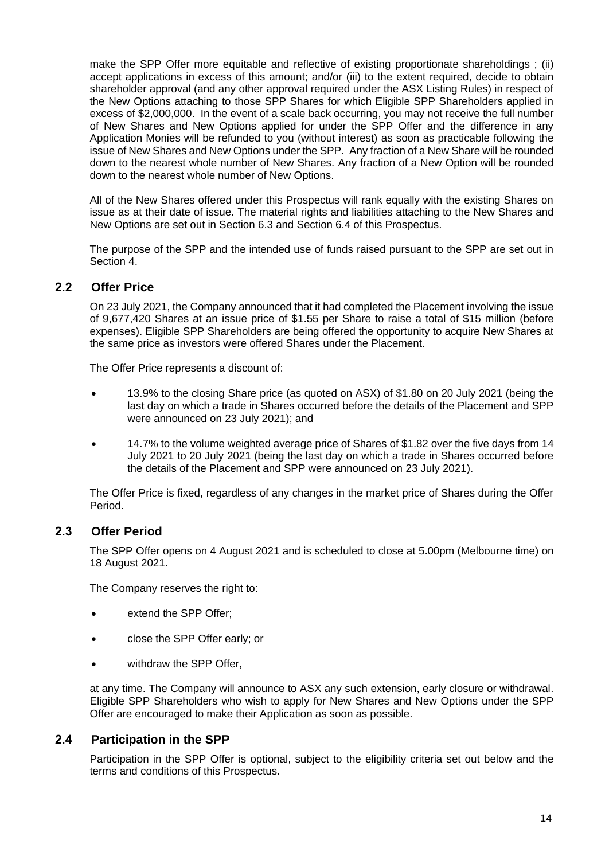make the SPP Offer more equitable and reflective of existing proportionate shareholdings ; (ii) accept applications in excess of this amount; and/or (iii) to the extent required, decide to obtain shareholder approval (and any other approval required under the ASX Listing Rules) in respect of the New Options attaching to those SPP Shares for which Eligible SPP Shareholders applied in excess of \$2,000,000. In the event of a scale back occurring, you may not receive the full number of New Shares and New Options applied for under the SPP Offer and the difference in any Application Monies will be refunded to you (without interest) as soon as practicable following the issue of New Shares and New Options under the SPP. Any fraction of a New Share will be rounded down to the nearest whole number of New Shares. Any fraction of a New Option will be rounded down to the nearest whole number of New Options.

All of the New Shares offered under this Prospectus will rank equally with the existing Shares on issue as at their date of issue. The material rights and liabilities attaching to the New Shares and New Options are set out in Section [6.3](#page-42-0) and Section [6.4](#page-43-0) of this Prospectus.

The purpose of the SPP and the intended use of funds raised pursuant to the SPP are set out in Section [4.](#page-26-0)

#### **2.2 Offer Price**

On 23 July 2021, the Company announced that it had completed the Placement involving the issue of 9,677,420 Shares at an issue price of \$1.55 per Share to raise a total of \$15 million (before expenses). Eligible SPP Shareholders are being offered the opportunity to acquire New Shares at the same price as investors were offered Shares under the Placement.

The Offer Price represents a discount of:

- 13.9% to the closing Share price (as quoted on ASX) of \$1.80 on 20 July 2021 (being the last day on which a trade in Shares occurred before the details of the Placement and SPP were announced on 23 July 2021); and
- 14.7% to the volume weighted average price of Shares of \$1.82 over the five days from 14 July 2021 to 20 July 2021 (being the last day on which a trade in Shares occurred before the details of the Placement and SPP were announced on 23 July 2021).

The Offer Price is fixed, regardless of any changes in the market price of Shares during the Offer Period.

#### <span id="page-15-1"></span>**2.3 Offer Period**

The SPP Offer opens on 4 August 2021 and is scheduled to close at 5.00pm (Melbourne time) on 18 August 2021.

The Company reserves the right to:

- extend the SPP Offer;
- close the SPP Offer early; or
- withdraw the SPP Offer,

at any time. The Company will announce to ASX any such extension, early closure or withdrawal. Eligible SPP Shareholders who wish to apply for New Shares and New Options under the SPP Offer are encouraged to make their Application as soon as possible.

#### <span id="page-15-0"></span>**2.4 Participation in the SPP**

Participation in the SPP Offer is optional, subject to the eligibility criteria set out below and the terms and conditions of this Prospectus.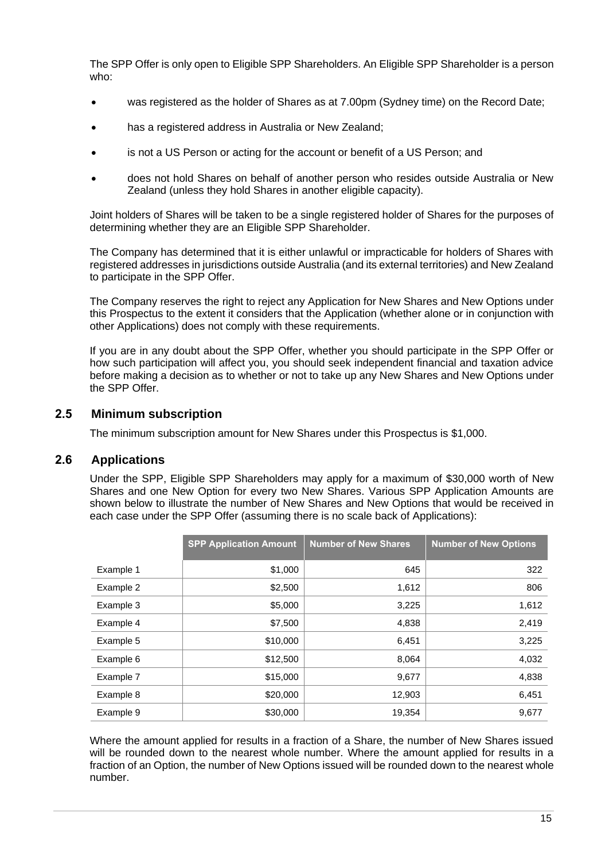The SPP Offer is only open to Eligible SPP Shareholders. An Eligible SPP Shareholder is a person who:

- was registered as the holder of Shares as at 7.00pm (Sydney time) on the Record Date;
- has a registered address in Australia or New Zealand;
- is not a US Person or acting for the account or benefit of a US Person; and
- does not hold Shares on behalf of another person who resides outside Australia or New Zealand (unless they hold Shares in another eligible capacity).

Joint holders of Shares will be taken to be a single registered holder of Shares for the purposes of determining whether they are an Eligible SPP Shareholder.

The Company has determined that it is either unlawful or impracticable for holders of Shares with registered addresses in jurisdictions outside Australia (and its external territories) and New Zealand to participate in the SPP Offer.

The Company reserves the right to reject any Application for New Shares and New Options under this Prospectus to the extent it considers that the Application (whether alone or in conjunction with other Applications) does not comply with these requirements.

If you are in any doubt about the SPP Offer, whether you should participate in the SPP Offer or how such participation will affect you, you should seek independent financial and taxation advice before making a decision as to whether or not to take up any New Shares and New Options under the SPP Offer

#### **2.5 Minimum subscription**

The minimum subscription amount for New Shares under this Prospectus is \$1,000.

#### <span id="page-16-0"></span>**2.6 Applications**

Under the SPP, Eligible SPP Shareholders may apply for a maximum of \$30,000 worth of New Shares and one New Option for every two New Shares. Various SPP Application Amounts are shown below to illustrate the number of New Shares and New Options that would be received in each case under the SPP Offer (assuming there is no scale back of Applications):

|           | <b>SPP Application Amount</b> | <b>Number of New Shares</b> | <b>Number of New Options</b> |
|-----------|-------------------------------|-----------------------------|------------------------------|
| Example 1 | \$1,000                       | 645                         | 322                          |
| Example 2 | \$2,500                       | 1,612                       | 806                          |
| Example 3 | \$5,000                       | 3,225                       | 1,612                        |
| Example 4 | \$7,500                       | 4,838                       | 2,419                        |
| Example 5 | \$10,000                      | 6,451                       | 3,225                        |
| Example 6 | \$12,500                      | 8,064                       | 4,032                        |
| Example 7 | \$15,000                      | 9,677                       | 4,838                        |
| Example 8 | \$20,000                      | 12,903                      | 6,451                        |
| Example 9 | \$30,000                      | 19,354                      | 9,677                        |

Where the amount applied for results in a fraction of a Share, the number of New Shares issued will be rounded down to the nearest whole number. Where the amount applied for results in a fraction of an Option, the number of New Options issued will be rounded down to the nearest whole number.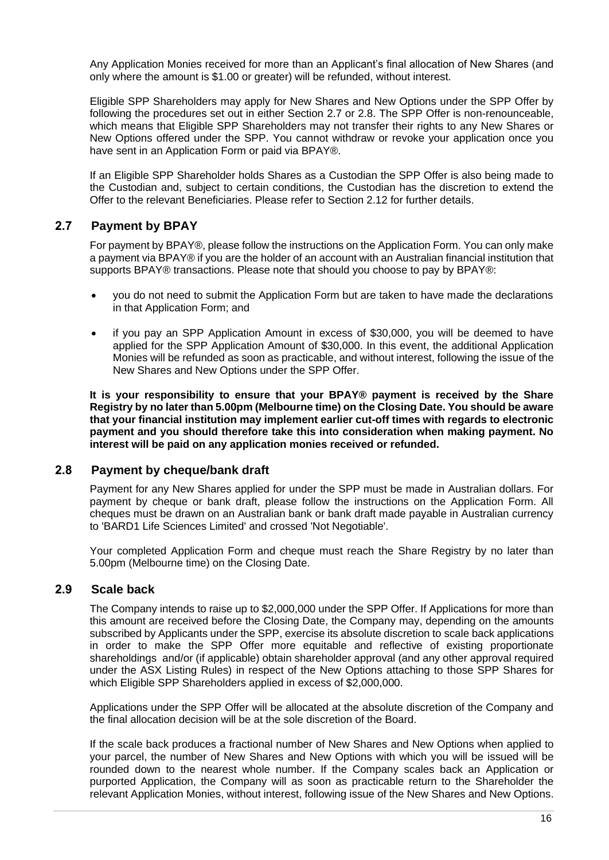Any Application Monies received for more than an Applicant's final allocation of New Shares (and only where the amount is \$1.00 or greater) will be refunded, without interest.

Eligible SPP Shareholders may apply for New Shares and New Options under the SPP Offer by following the procedures set out in either Section [2.7](#page-17-0) or [2.8.](#page-17-1) The SPP Offer is non-renounceable, which means that Eligible SPP Shareholders may not transfer their rights to any New Shares or New Options offered under the SPP. You cannot withdraw or revoke your application once you have sent in an Application Form or paid via BPAY®.

If an Eligible SPP Shareholder holds Shares as a Custodian the SPP Offer is also being made to the Custodian and, subject to certain conditions, the Custodian has the discretion to extend the Offer to the relevant Beneficiaries. Please refer to Section [2.12](#page-19-0) for further details.

#### <span id="page-17-0"></span>**2.7 Payment by BPAY**

For payment by BPAY®, please follow the instructions on the Application Form. You can only make a payment via BPAY® if you are the holder of an account with an Australian financial institution that supports BPAY® transactions. Please note that should you choose to pay by BPAY®:

- you do not need to submit the Application Form but are taken to have made the declarations in that Application Form; and
- if you pay an SPP Application Amount in excess of \$30,000, you will be deemed to have applied for the SPP Application Amount of \$30,000. In this event, the additional Application Monies will be refunded as soon as practicable, and without interest, following the issue of the New Shares and New Options under the SPP Offer.

**It is your responsibility to ensure that your BPAY® payment is received by the Share Registry by no later than 5.00pm (Melbourne time) on the Closing Date. You should be aware that your financial institution may implement earlier cut-off times with regards to electronic payment and you should therefore take this into consideration when making payment. No interest will be paid on any application monies received or refunded.**

#### <span id="page-17-1"></span>**2.8 Payment by cheque/bank draft**

Payment for any New Shares applied for under the SPP must be made in Australian dollars. For payment by cheque or bank draft, please follow the instructions on the Application Form. All cheques must be drawn on an Australian bank or bank draft made payable in Australian currency to 'BARD1 Life Sciences Limited' and crossed 'Not Negotiable'.

Your completed Application Form and cheque must reach the Share Registry by no later than 5.00pm (Melbourne time) on the Closing Date.

#### **2.9 Scale back**

The Company intends to raise up to \$2,000,000 under the SPP Offer. If Applications for more than this amount are received before the Closing Date, the Company may, depending on the amounts subscribed by Applicants under the SPP, exercise its absolute discretion to scale back applications in order to make the SPP Offer more equitable and reflective of existing proportionate shareholdings and/or (if applicable) obtain shareholder approval (and any other approval required under the ASX Listing Rules) in respect of the New Options attaching to those SPP Shares for which Eligible SPP Shareholders applied in excess of \$2,000,000.

Applications under the SPP Offer will be allocated at the absolute discretion of the Company and the final allocation decision will be at the sole discretion of the Board.

If the scale back produces a fractional number of New Shares and New Options when applied to your parcel, the number of New Shares and New Options with which you will be issued will be rounded down to the nearest whole number. If the Company scales back an Application or purported Application, the Company will as soon as practicable return to the Shareholder the relevant Application Monies, without interest, following issue of the New Shares and New Options.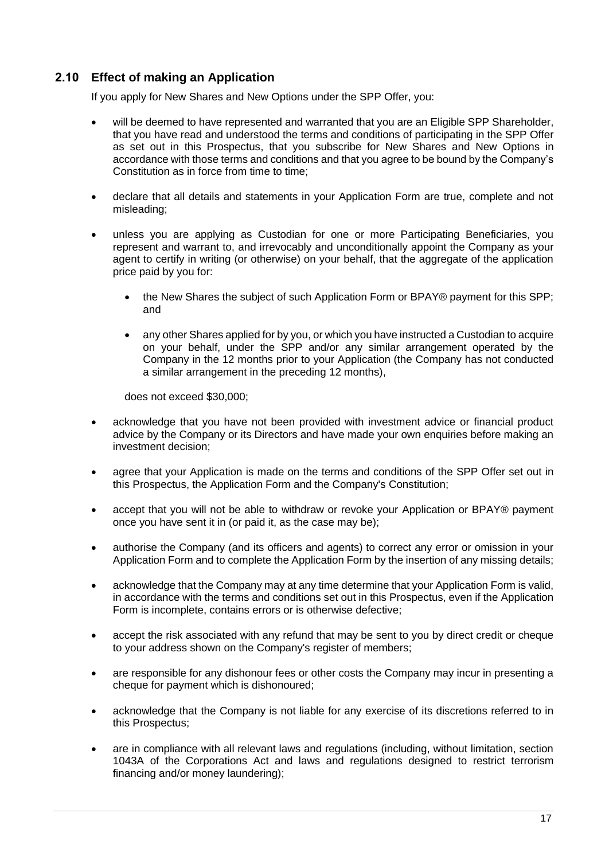#### <span id="page-18-0"></span>**2.10 Effect of making an Application**

If you apply for New Shares and New Options under the SPP Offer, you:

- will be deemed to have represented and warranted that you are an Eligible SPP Shareholder. that you have read and understood the terms and conditions of participating in the SPP Offer as set out in this Prospectus, that you subscribe for New Shares and New Options in accordance with those terms and conditions and that you agree to be bound by the Company's Constitution as in force from time to time;
- declare that all details and statements in your Application Form are true, complete and not misleading;
- unless you are applying as Custodian for one or more Participating Beneficiaries, you represent and warrant to, and irrevocably and unconditionally appoint the Company as your agent to certify in writing (or otherwise) on your behalf, that the aggregate of the application price paid by you for:
	- the New Shares the subject of such Application Form or BPAY® payment for this SPP; and
	- any other Shares applied for by you, or which you have instructed a Custodian to acquire on your behalf, under the SPP and/or any similar arrangement operated by the Company in the 12 months prior to your Application (the Company has not conducted a similar arrangement in the preceding 12 months),

does not exceed \$30,000;

- acknowledge that you have not been provided with investment advice or financial product advice by the Company or its Directors and have made your own enquiries before making an investment decision;
- agree that your Application is made on the terms and conditions of the SPP Offer set out in this Prospectus, the Application Form and the Company's Constitution;
- accept that you will not be able to withdraw or revoke your Application or BPAY® payment once you have sent it in (or paid it, as the case may be);
- authorise the Company (and its officers and agents) to correct any error or omission in your Application Form and to complete the Application Form by the insertion of any missing details;
- acknowledge that the Company may at any time determine that your Application Form is valid, in accordance with the terms and conditions set out in this Prospectus, even if the Application Form is incomplete, contains errors or is otherwise defective;
- accept the risk associated with any refund that may be sent to you by direct credit or cheque to your address shown on the Company's register of members;
- are responsible for any dishonour fees or other costs the Company may incur in presenting a cheque for payment which is dishonoured;
- acknowledge that the Company is not liable for any exercise of its discretions referred to in this Prospectus;
- are in compliance with all relevant laws and regulations (including, without limitation, section 1043A of the Corporations Act and laws and regulations designed to restrict terrorism financing and/or money laundering);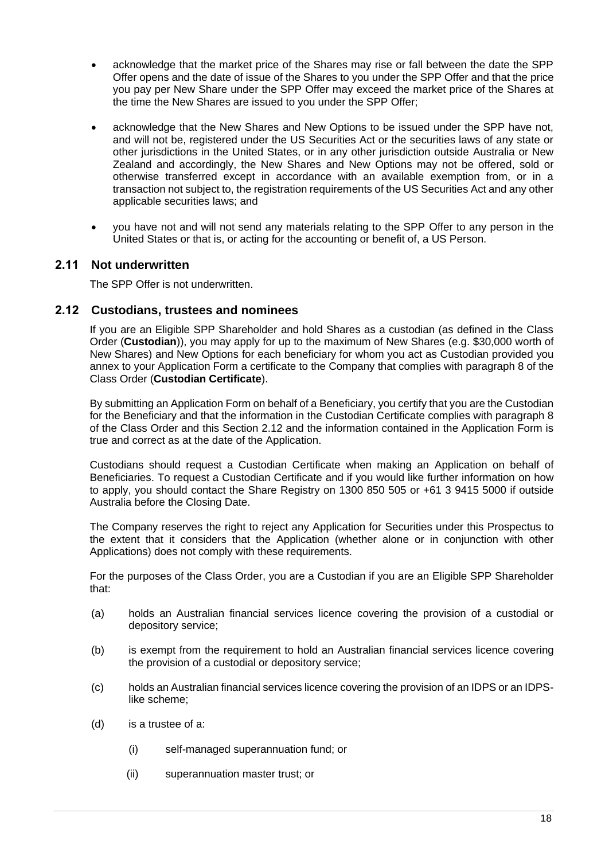- acknowledge that the market price of the Shares may rise or fall between the date the SPP Offer opens and the date of issue of the Shares to you under the SPP Offer and that the price you pay per New Share under the SPP Offer may exceed the market price of the Shares at the time the New Shares are issued to you under the SPP Offer;
- acknowledge that the New Shares and New Options to be issued under the SPP have not, and will not be, registered under the US Securities Act or the securities laws of any state or other jurisdictions in the United States, or in any other jurisdiction outside Australia or New Zealand and accordingly, the New Shares and New Options may not be offered, sold or otherwise transferred except in accordance with an available exemption from, or in a transaction not subject to, the registration requirements of the US Securities Act and any other applicable securities laws; and
- you have not and will not send any materials relating to the SPP Offer to any person in the United States or that is, or acting for the accounting or benefit of, a US Person.

#### **2.11 Not underwritten**

The SPP Offer is not underwritten.

#### <span id="page-19-0"></span>**2.12 Custodians, trustees and nominees**

If you are an Eligible SPP Shareholder and hold Shares as a custodian (as defined in the Class Order (**Custodian**)), you may apply for up to the maximum of New Shares (e.g. \$30,000 worth of New Shares) and New Options for each beneficiary for whom you act as Custodian provided you annex to your Application Form a certificate to the Company that complies with paragraph 8 of the Class Order (**Custodian Certificate**).

By submitting an Application Form on behalf of a Beneficiary, you certify that you are the Custodian for the Beneficiary and that the information in the Custodian Certificate complies with paragraph 8 of the Class Order and this Section [2.12](#page-19-0) and the information contained in the Application Form is true and correct as at the date of the Application.

Custodians should request a Custodian Certificate when making an Application on behalf of Beneficiaries. To request a Custodian Certificate and if you would like further information on how to apply, you should contact the Share Registry on 1300 850 505 or +61 3 9415 5000 if outside Australia before the Closing Date.

The Company reserves the right to reject any Application for Securities under this Prospectus to the extent that it considers that the Application (whether alone or in conjunction with other Applications) does not comply with these requirements.

For the purposes of the Class Order, you are a Custodian if you are an Eligible SPP Shareholder that:

- (a) holds an Australian financial services licence covering the provision of a custodial or depository service;
- (b) is exempt from the requirement to hold an Australian financial services licence covering the provision of a custodial or depository service;
- (c) holds an Australian financial services licence covering the provision of an IDPS or an IDPSlike scheme;
- (d) is a trustee of a:
	- (i) self-managed superannuation fund; or
	- (ii) superannuation master trust; or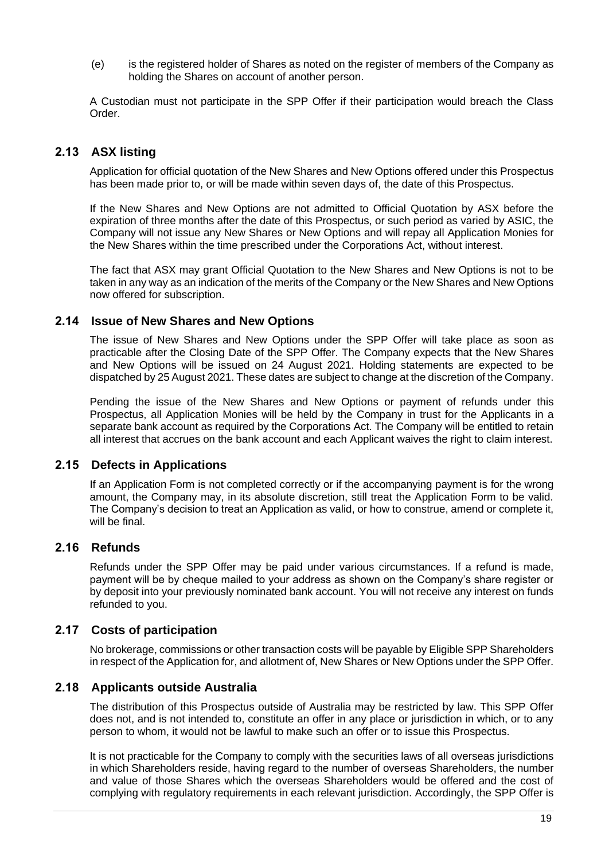(e) is the registered holder of Shares as noted on the register of members of the Company as holding the Shares on account of another person.

A Custodian must not participate in the SPP Offer if their participation would breach the Class Order.

#### <span id="page-20-2"></span>**2.13 ASX listing**

Application for official quotation of the New Shares and New Options offered under this Prospectus has been made prior to, or will be made within seven days of, the date of this Prospectus.

If the New Shares and New Options are not admitted to Official Quotation by ASX before the expiration of three months after the date of this Prospectus, or such period as varied by ASIC, the Company will not issue any New Shares or New Options and will repay all Application Monies for the New Shares within the time prescribed under the Corporations Act, without interest.

The fact that ASX may grant Official Quotation to the New Shares and New Options is not to be taken in any way as an indication of the merits of the Company or the New Shares and New Options now offered for subscription.

#### <span id="page-20-1"></span>**2.14 Issue of New Shares and New Options**

The issue of New Shares and New Options under the SPP Offer will take place as soon as practicable after the Closing Date of the SPP Offer. The Company expects that the New Shares and New Options will be issued on 24 August 2021. Holding statements are expected to be dispatched by 25 August 2021. These dates are subject to change at the discretion of the Company.

Pending the issue of the New Shares and New Options or payment of refunds under this Prospectus, all Application Monies will be held by the Company in trust for the Applicants in a separate bank account as required by the Corporations Act. The Company will be entitled to retain all interest that accrues on the bank account and each Applicant waives the right to claim interest.

#### **2.15 Defects in Applications**

If an Application Form is not completed correctly or if the accompanying payment is for the wrong amount, the Company may, in its absolute discretion, still treat the Application Form to be valid. The Company's decision to treat an Application as valid, or how to construe, amend or complete it, will be final.

#### **2.16 Refunds**

Refunds under the SPP Offer may be paid under various circumstances. If a refund is made, payment will be by cheque mailed to your address as shown on the Company's share register or by deposit into your previously nominated bank account. You will not receive any interest on funds refunded to you.

#### <span id="page-20-0"></span>**2.17 Costs of participation**

No brokerage, commissions or other transaction costs will be payable by Eligible SPP Shareholders in respect of the Application for, and allotment of, New Shares or New Options under the SPP Offer.

#### **2.18 Applicants outside Australia**

The distribution of this Prospectus outside of Australia may be restricted by law. This SPP Offer does not, and is not intended to, constitute an offer in any place or jurisdiction in which, or to any person to whom, it would not be lawful to make such an offer or to issue this Prospectus.

It is not practicable for the Company to comply with the securities laws of all overseas jurisdictions in which Shareholders reside, having regard to the number of overseas Shareholders, the number and value of those Shares which the overseas Shareholders would be offered and the cost of complying with regulatory requirements in each relevant jurisdiction. Accordingly, the SPP Offer is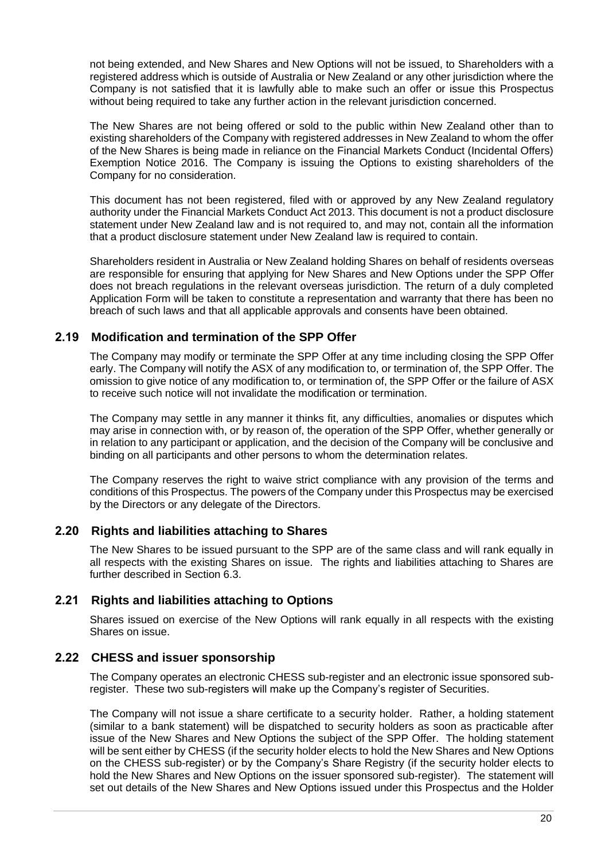not being extended, and New Shares and New Options will not be issued, to Shareholders with a registered address which is outside of Australia or New Zealand or any other jurisdiction where the Company is not satisfied that it is lawfully able to make such an offer or issue this Prospectus without being required to take any further action in the relevant jurisdiction concerned.

The New Shares are not being offered or sold to the public within New Zealand other than to existing shareholders of the Company with registered addresses in New Zealand to whom the offer of the New Shares is being made in reliance on the Financial Markets Conduct (Incidental Offers) Exemption Notice 2016. The Company is issuing the Options to existing shareholders of the Company for no consideration.

This document has not been registered, filed with or approved by any New Zealand regulatory authority under the Financial Markets Conduct Act 2013. This document is not a product disclosure statement under New Zealand law and is not required to, and may not, contain all the information that a product disclosure statement under New Zealand law is required to contain.

Shareholders resident in Australia or New Zealand holding Shares on behalf of residents overseas are responsible for ensuring that applying for New Shares and New Options under the SPP Offer does not breach regulations in the relevant overseas jurisdiction. The return of a duly completed Application Form will be taken to constitute a representation and warranty that there has been no breach of such laws and that all applicable approvals and consents have been obtained.

#### <span id="page-21-0"></span>**2.19 Modification and termination of the SPP Offer**

The Company may modify or terminate the SPP Offer at any time including closing the SPP Offer early. The Company will notify the ASX of any modification to, or termination of, the SPP Offer. The omission to give notice of any modification to, or termination of, the SPP Offer or the failure of ASX to receive such notice will not invalidate the modification or termination.

The Company may settle in any manner it thinks fit, any difficulties, anomalies or disputes which may arise in connection with, or by reason of, the operation of the SPP Offer, whether generally or in relation to any participant or application, and the decision of the Company will be conclusive and binding on all participants and other persons to whom the determination relates.

The Company reserves the right to waive strict compliance with any provision of the terms and conditions of this Prospectus. The powers of the Company under this Prospectus may be exercised by the Directors or any delegate of the Directors.

#### **2.20 Rights and liabilities attaching to Shares**

The New Shares to be issued pursuant to the SPP are of the same class and will rank equally in all respects with the existing Shares on issue. The rights and liabilities attaching to Shares are further described in Section [6.3.](#page-42-0)

#### **2.21 Rights and liabilities attaching to Options**

Shares issued on exercise of the New Options will rank equally in all respects with the existing Shares on issue.

#### **2.22 CHESS and issuer sponsorship**

The Company operates an electronic CHESS sub-register and an electronic issue sponsored subregister. These two sub-registers will make up the Company's register of Securities.

The Company will not issue a share certificate to a security holder. Rather, a holding statement (similar to a bank statement) will be dispatched to security holders as soon as practicable after issue of the New Shares and New Options the subject of the SPP Offer. The holding statement will be sent either by CHESS (if the security holder elects to hold the New Shares and New Options on the CHESS sub-register) or by the Company's Share Registry (if the security holder elects to hold the New Shares and New Options on the issuer sponsored sub-register). The statement will set out details of the New Shares and New Options issued under this Prospectus and the Holder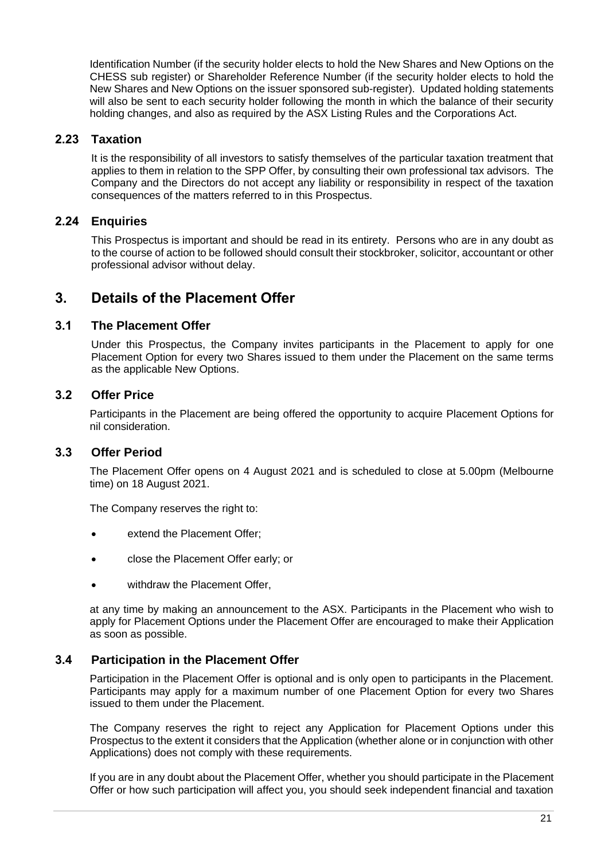Identification Number (if the security holder elects to hold the New Shares and New Options on the CHESS sub register) or Shareholder Reference Number (if the security holder elects to hold the New Shares and New Options on the issuer sponsored sub-register). Updated holding statements will also be sent to each security holder following the month in which the balance of their security holding changes, and also as required by the ASX Listing Rules and the Corporations Act.

#### **2.23 Taxation**

It is the responsibility of all investors to satisfy themselves of the particular taxation treatment that applies to them in relation to the SPP Offer, by consulting their own professional tax advisors. The Company and the Directors do not accept any liability or responsibility in respect of the taxation consequences of the matters referred to in this Prospectus.

#### **2.24 Enquiries**

This Prospectus is important and should be read in its entirety. Persons who are in any doubt as to the course of action to be followed should consult their stockbroker, solicitor, accountant or other professional advisor without delay.

#### <span id="page-22-0"></span>**3. Details of the Placement Offer**

#### <span id="page-22-1"></span>**3.1 The Placement Offer**

Under this Prospectus, the Company invites participants in the Placement to apply for one Placement Option for every two Shares issued to them under the Placement on the same terms as the applicable New Options.

#### <span id="page-22-3"></span>**3.2 Offer Price**

Participants in the Placement are being offered the opportunity to acquire Placement Options for nil consideration.

#### **3.3 Offer Period**

The Placement Offer opens on 4 August 2021 and is scheduled to close at 5.00pm (Melbourne time) on 18 August 2021.

The Company reserves the right to:

- extend the Placement Offer;
- close the Placement Offer early; or
- withdraw the Placement Offer,

at any time by making an announcement to the ASX. Participants in the Placement who wish to apply for Placement Options under the Placement Offer are encouraged to make their Application as soon as possible.

#### <span id="page-22-2"></span>**3.4 Participation in the Placement Offer**

Participation in the Placement Offer is optional and is only open to participants in the Placement. Participants may apply for a maximum number of one Placement Option for every two Shares issued to them under the Placement.

The Company reserves the right to reject any Application for Placement Options under this Prospectus to the extent it considers that the Application (whether alone or in conjunction with other Applications) does not comply with these requirements.

If you are in any doubt about the Placement Offer, whether you should participate in the Placement Offer or how such participation will affect you, you should seek independent financial and taxation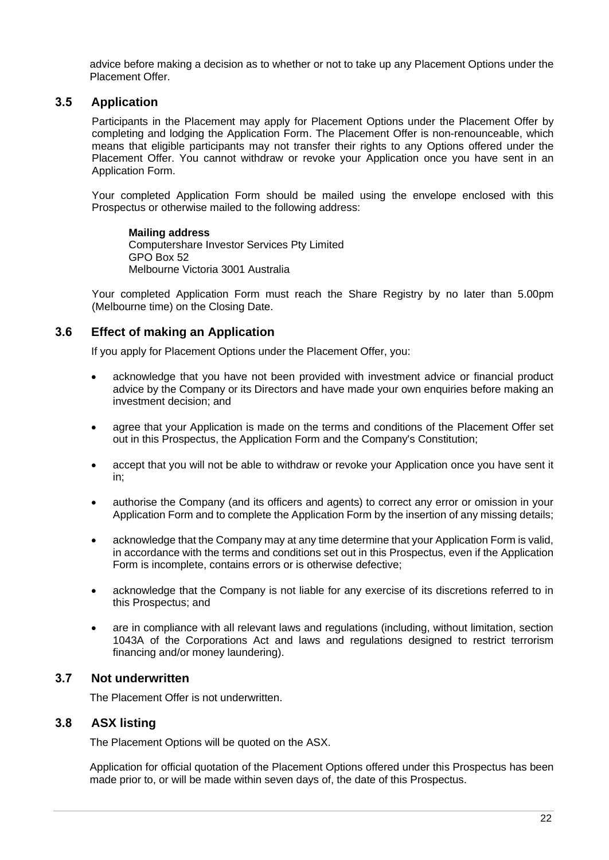advice before making a decision as to whether or not to take up any Placement Options under the Placement Offer.

#### <span id="page-23-0"></span>**3.5 Application**

Participants in the Placement may apply for Placement Options under the Placement Offer by completing and lodging the Application Form. The Placement Offer is non-renounceable, which means that eligible participants may not transfer their rights to any Options offered under the Placement Offer. You cannot withdraw or revoke your Application once you have sent in an Application Form.

Your completed Application Form should be mailed using the envelope enclosed with this Prospectus or otherwise mailed to the following address:

**Mailing address** Computershare Investor Services Pty Limited GPO Box 52 Melbourne Victoria 3001 Australia

Your completed Application Form must reach the Share Registry by no later than 5.00pm (Melbourne time) on the Closing Date.

#### **3.6 Effect of making an Application**

If you apply for Placement Options under the Placement Offer, you:

- acknowledge that you have not been provided with investment advice or financial product advice by the Company or its Directors and have made your own enquiries before making an investment decision; and
- agree that your Application is made on the terms and conditions of the Placement Offer set out in this Prospectus, the Application Form and the Company's Constitution;
- accept that you will not be able to withdraw or revoke your Application once you have sent it in;
- authorise the Company (and its officers and agents) to correct any error or omission in your Application Form and to complete the Application Form by the insertion of any missing details;
- acknowledge that the Company may at any time determine that your Application Form is valid, in accordance with the terms and conditions set out in this Prospectus, even if the Application Form is incomplete, contains errors or is otherwise defective;
- acknowledge that the Company is not liable for any exercise of its discretions referred to in this Prospectus; and
- are in compliance with all relevant laws and regulations (including, without limitation, section 1043A of the Corporations Act and laws and regulations designed to restrict terrorism financing and/or money laundering).

#### **3.7 Not underwritten**

The Placement Offer is not underwritten.

#### **3.8 ASX listing**

The Placement Options will be quoted on the ASX.

Application for official quotation of the Placement Options offered under this Prospectus has been made prior to, or will be made within seven days of, the date of this Prospectus.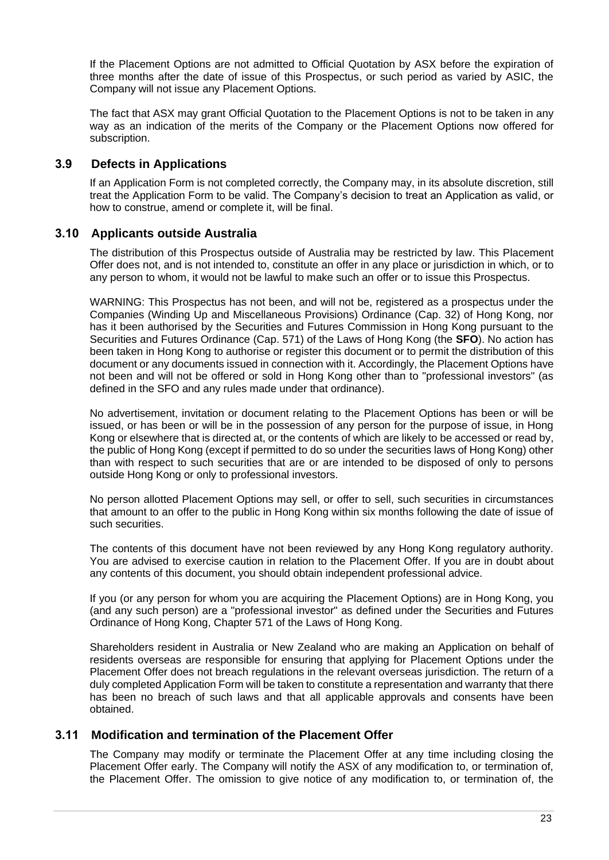If the Placement Options are not admitted to Official Quotation by ASX before the expiration of three months after the date of issue of this Prospectus, or such period as varied by ASIC, the Company will not issue any Placement Options.

The fact that ASX may grant Official Quotation to the Placement Options is not to be taken in any way as an indication of the merits of the Company or the Placement Options now offered for subscription.

#### **3.9 Defects in Applications**

If an Application Form is not completed correctly, the Company may, in its absolute discretion, still treat the Application Form to be valid. The Company's decision to treat an Application as valid, or how to construe, amend or complete it, will be final.

#### **3.10 Applicants outside Australia**

The distribution of this Prospectus outside of Australia may be restricted by law. This Placement Offer does not, and is not intended to, constitute an offer in any place or jurisdiction in which, or to any person to whom, it would not be lawful to make such an offer or to issue this Prospectus.

WARNING: This Prospectus has not been, and will not be, registered as a prospectus under the Companies (Winding Up and Miscellaneous Provisions) Ordinance (Cap. 32) of Hong Kong, nor has it been authorised by the Securities and Futures Commission in Hong Kong pursuant to the Securities and Futures Ordinance (Cap. 571) of the Laws of Hong Kong (the **SFO**). No action has been taken in Hong Kong to authorise or register this document or to permit the distribution of this document or any documents issued in connection with it. Accordingly, the Placement Options have not been and will not be offered or sold in Hong Kong other than to "professional investors" (as defined in the SFO and any rules made under that ordinance).

No advertisement, invitation or document relating to the Placement Options has been or will be issued, or has been or will be in the possession of any person for the purpose of issue, in Hong Kong or elsewhere that is directed at, or the contents of which are likely to be accessed or read by, the public of Hong Kong (except if permitted to do so under the securities laws of Hong Kong) other than with respect to such securities that are or are intended to be disposed of only to persons outside Hong Kong or only to professional investors.

No person allotted Placement Options may sell, or offer to sell, such securities in circumstances that amount to an offer to the public in Hong Kong within six months following the date of issue of such securities.

The contents of this document have not been reviewed by any Hong Kong regulatory authority. You are advised to exercise caution in relation to the Placement Offer. If you are in doubt about any contents of this document, you should obtain independent professional advice.

If you (or any person for whom you are acquiring the Placement Options) are in Hong Kong, you (and any such person) are a "professional investor" as defined under the Securities and Futures Ordinance of Hong Kong, Chapter 571 of the Laws of Hong Kong.

Shareholders resident in Australia or New Zealand who are making an Application on behalf of residents overseas are responsible for ensuring that applying for Placement Options under the Placement Offer does not breach regulations in the relevant overseas jurisdiction. The return of a duly completed Application Form will be taken to constitute a representation and warranty that there has been no breach of such laws and that all applicable approvals and consents have been obtained.

#### **3.11 Modification and termination of the Placement Offer**

The Company may modify or terminate the Placement Offer at any time including closing the Placement Offer early. The Company will notify the ASX of any modification to, or termination of, the Placement Offer. The omission to give notice of any modification to, or termination of, the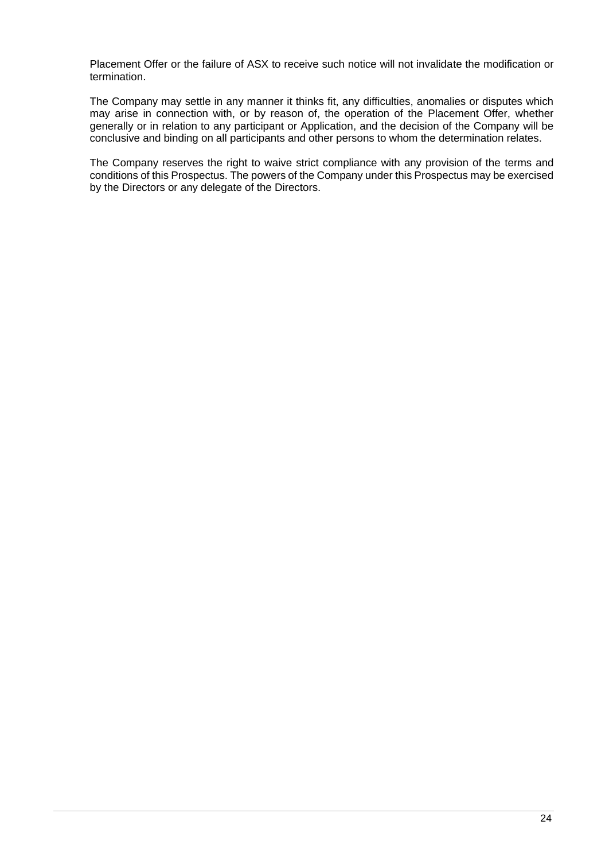Placement Offer or the failure of ASX to receive such notice will not invalidate the modification or termination.

The Company may settle in any manner it thinks fit, any difficulties, anomalies or disputes which may arise in connection with, or by reason of, the operation of the Placement Offer, whether generally or in relation to any participant or Application, and the decision of the Company will be conclusive and binding on all participants and other persons to whom the determination relates.

The Company reserves the right to waive strict compliance with any provision of the terms and conditions of this Prospectus. The powers of the Company under this Prospectus may be exercised by the Directors or any delegate of the Directors.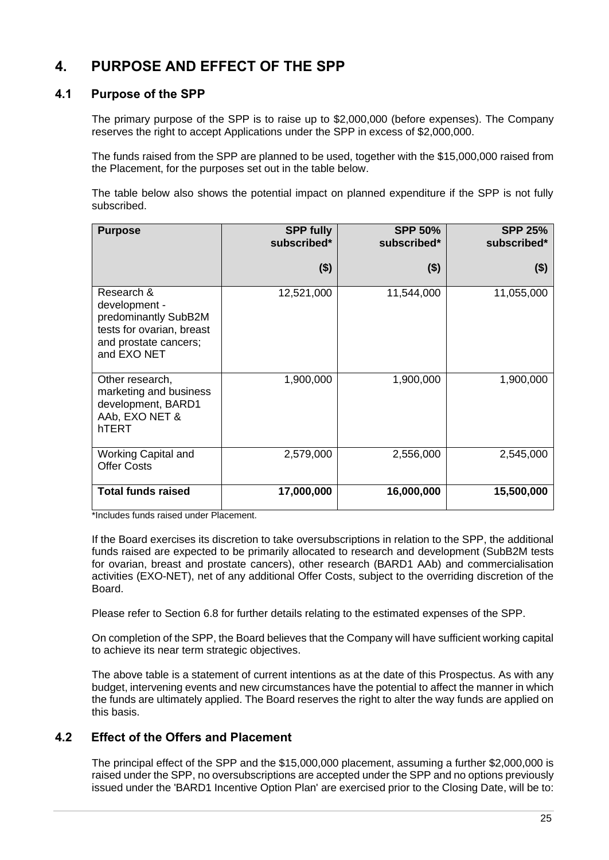## <span id="page-26-0"></span>**4. PURPOSE AND EFFECT OF THE SPP**

#### **4.1 Purpose of the SPP**

The primary purpose of the SPP is to raise up to \$2,000,000 (before expenses). The Company reserves the right to accept Applications under the SPP in excess of \$2,000,000.

The funds raised from the SPP are planned to be used, together with the \$15,000,000 raised from the Placement, for the purposes set out in the table below.

The table below also shows the potential impact on planned expenditure if the SPP is not fully subscribed.

| <b>Purpose</b>                                                                                                           | <b>SPP fully</b><br>subscribed* | <b>SPP 50%</b><br>subscribed* | <b>SPP 25%</b><br>subscribed* |
|--------------------------------------------------------------------------------------------------------------------------|---------------------------------|-------------------------------|-------------------------------|
|                                                                                                                          | ( \$)                           | ( \$)                         | $($ \$)                       |
| Research &<br>development -<br>predominantly SubB2M<br>tests for ovarian, breast<br>and prostate cancers;<br>and EXO NET | 12,521,000                      | 11,544,000                    | 11,055,000                    |
| Other research,<br>marketing and business<br>development, BARD1<br>AAb, EXO NET &<br>hTERT                               | 1,900,000                       | 1,900,000                     | 1,900,000                     |
| Working Capital and<br><b>Offer Costs</b>                                                                                | 2,579,000                       | 2,556,000                     | 2,545,000                     |
| <b>Total funds raised</b>                                                                                                | 17,000,000                      | 16,000,000                    | 15,500,000                    |

\*Includes funds raised under Placement.

If the Board exercises its discretion to take oversubscriptions in relation to the SPP, the additional funds raised are expected to be primarily allocated to research and development (SubB2M tests for ovarian, breast and prostate cancers), other research (BARD1 AAb) and commercialisation activities (EXO-NET), net of any additional Offer Costs, subject to the overriding discretion of the Board.

Please refer to Section [6.8](#page-47-0) for further details relating to the estimated expenses of the SPP.

On completion of the SPP, the Board believes that the Company will have sufficient working capital to achieve its near term strategic objectives.

The above table is a statement of current intentions as at the date of this Prospectus. As with any budget, intervening events and new circumstances have the potential to affect the manner in which the funds are ultimately applied. The Board reserves the right to alter the way funds are applied on this basis.

#### **4.2 Effect of the Offers and Placement**

The principal effect of the SPP and the \$15,000,000 placement, assuming a further \$2,000,000 is raised under the SPP, no oversubscriptions are accepted under the SPP and no options previously issued under the 'BARD1 Incentive Option Plan' are exercised prior to the Closing Date, will be to: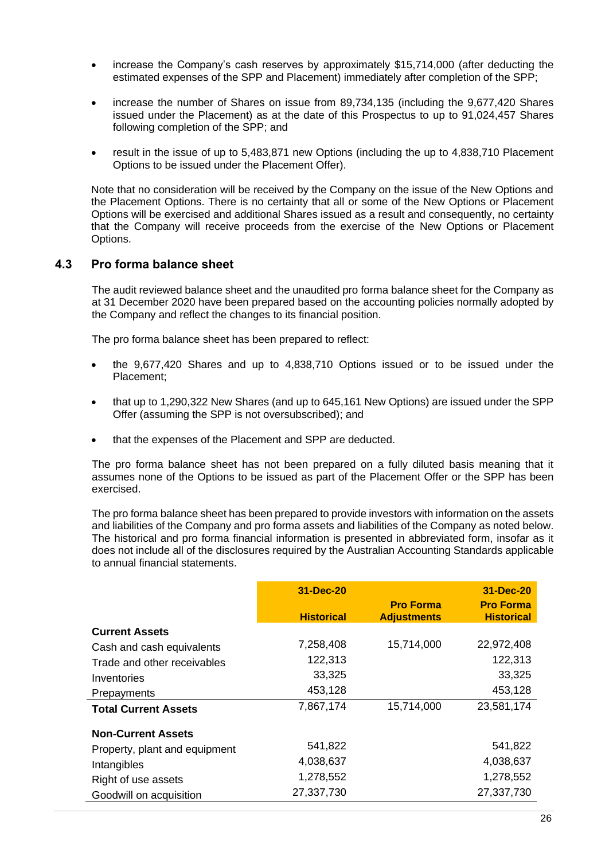- increase the Company's cash reserves by approximately \$15,714,000 (after deducting the estimated expenses of the SPP and Placement) immediately after completion of the SPP;
- increase the number of Shares on issue from 89,734,135 (including the 9,677,420 Shares issued under the Placement) as at the date of this Prospectus to up to 91,024,457 Shares following completion of the SPP; and
- result in the issue of up to 5,483,871 new Options (including the up to 4,838,710 Placement Options to be issued under the Placement Offer).

Note that no consideration will be received by the Company on the issue of the New Options and the Placement Options. There is no certainty that all or some of the New Options or Placement Options will be exercised and additional Shares issued as a result and consequently, no certainty that the Company will receive proceeds from the exercise of the New Options or Placement Options.

#### <span id="page-27-0"></span>**4.3 Pro forma balance sheet**

The audit reviewed balance sheet and the unaudited pro forma balance sheet for the Company as at 31 December 2020 have been prepared based on the accounting policies normally adopted by the Company and reflect the changes to its financial position.

The pro forma balance sheet has been prepared to reflect:

- the 9,677,420 Shares and up to 4,838,710 Options issued or to be issued under the Placement;
- that up to 1,290,322 New Shares (and up to 645,161 New Options) are issued under the SPP Offer (assuming the SPP is not oversubscribed); and
- that the expenses of the Placement and SPP are deducted.

The pro forma balance sheet has not been prepared on a fully diluted basis meaning that it assumes none of the Options to be issued as part of the Placement Offer or the SPP has been exercised.

The pro forma balance sheet has been prepared to provide investors with information on the assets and liabilities of the Company and pro forma assets and liabilities of the Company as noted below. The historical and pro forma financial information is presented in abbreviated form, insofar as it does not include all of the disclosures required by the Australian Accounting Standards applicable to annual financial statements.

|                               | 31-Dec-20         |                                        | 31-Dec-20                             |
|-------------------------------|-------------------|----------------------------------------|---------------------------------------|
|                               | <b>Historical</b> | <b>Pro Forma</b><br><b>Adjustments</b> | <b>Pro Forma</b><br><b>Historical</b> |
| <b>Current Assets</b>         |                   |                                        |                                       |
| Cash and cash equivalents     | 7,258,408         | 15,714,000                             | 22,972,408                            |
| Trade and other receivables   | 122,313           |                                        | 122,313                               |
| Inventories                   | 33,325            |                                        | 33,325                                |
| Prepayments                   | 453,128           |                                        | 453,128                               |
| <b>Total Current Assets</b>   | 7,867,174         | 15,714,000                             | 23,581,174                            |
| <b>Non-Current Assets</b>     |                   |                                        |                                       |
| Property, plant and equipment | 541,822           |                                        | 541,822                               |
| Intangibles                   | 4,038,637         |                                        | 4,038,637                             |
| Right of use assets           | 1,278,552         |                                        | 1,278,552                             |
| Goodwill on acquisition       | 27,337,730        |                                        | 27,337,730                            |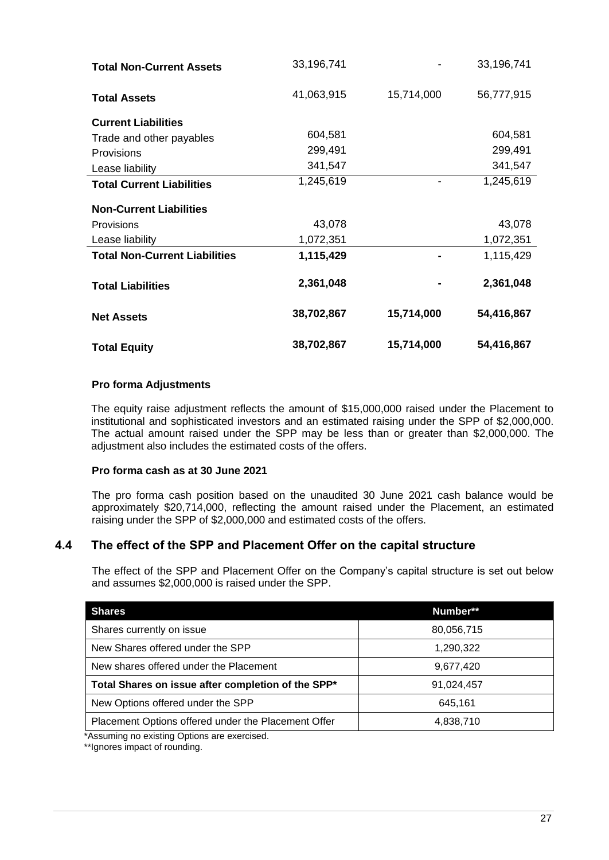| <b>Total Non-Current Assets</b>      | 33,196,741 |            | 33,196,741 |
|--------------------------------------|------------|------------|------------|
| <b>Total Assets</b>                  | 41,063,915 | 15,714,000 | 56,777,915 |
| <b>Current Liabilities</b>           |            |            |            |
| Trade and other payables             | 604,581    |            | 604,581    |
| Provisions                           | 299,491    |            | 299,491    |
| Lease liability                      | 341,547    |            | 341,547    |
| <b>Total Current Liabilities</b>     | 1,245,619  |            | 1,245,619  |
| <b>Non-Current Liabilities</b>       |            |            |            |
| <b>Provisions</b>                    | 43,078     |            | 43,078     |
| Lease liability                      | 1,072,351  |            | 1,072,351  |
| <b>Total Non-Current Liabilities</b> | 1,115,429  |            | 1,115,429  |
| <b>Total Liabilities</b>             | 2,361,048  |            | 2,361,048  |
| <b>Net Assets</b>                    | 38,702,867 | 15,714,000 | 54,416,867 |
| <b>Total Equity</b>                  | 38,702,867 | 15,714,000 | 54,416,867 |

#### **Pro forma Adjustments**

The equity raise adjustment reflects the amount of \$15,000,000 raised under the Placement to institutional and sophisticated investors and an estimated raising under the SPP of \$2,000,000. The actual amount raised under the SPP may be less than or greater than \$2,000,000. The adjustment also includes the estimated costs of the offers.

#### **Pro forma cash as at 30 June 2021**

The pro forma cash position based on the unaudited 30 June 2021 cash balance would be approximately \$20,714,000, reflecting the amount raised under the Placement, an estimated raising under the SPP of \$2,000,000 and estimated costs of the offers.

#### **4.4 The effect of the SPP and Placement Offer on the capital structure**

The effect of the SPP and Placement Offer on the Company's capital structure is set out below and assumes \$2,000,000 is raised under the SPP.

| <b>Shares</b>                                       | Number**   |
|-----------------------------------------------------|------------|
| Shares currently on issue                           | 80,056,715 |
| New Shares offered under the SPP                    | 1,290,322  |
| New shares offered under the Placement              | 9,677,420  |
| Total Shares on issue after completion of the SPP*  | 91,024,457 |
| New Options offered under the SPP                   | 645,161    |
| Placement Options offered under the Placement Offer | 4,838,710  |

\*Assuming no existing Options are exercised.

\*\*Ignores impact of rounding.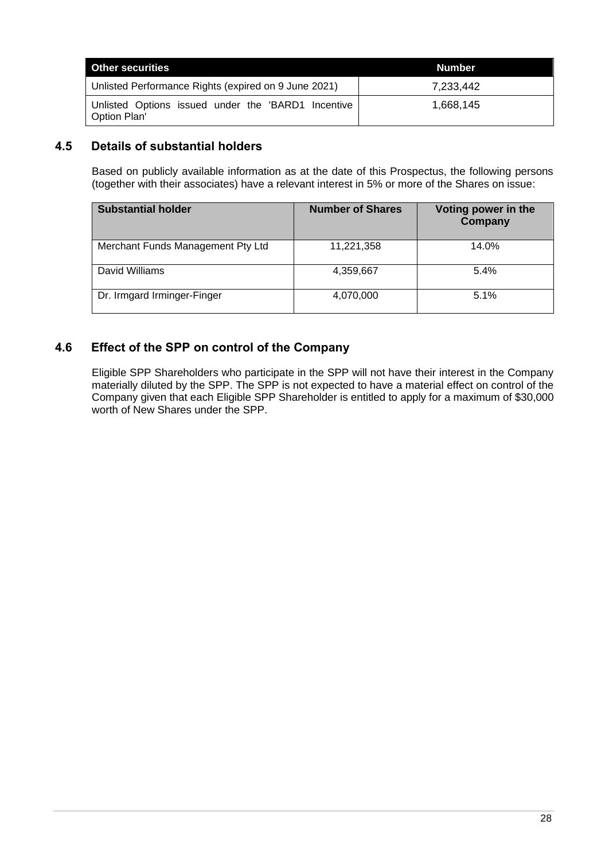| <b>Other securities</b>                                              | Number    |
|----------------------------------------------------------------------|-----------|
| Unlisted Performance Rights (expired on 9 June 2021)                 | 7,233,442 |
| Unlisted Options issued under the 'BARD1 Incentive<br>  Option Plan' | 1,668,145 |

#### **4.5 Details of substantial holders**

Based on publicly available information as at the date of this Prospectus, the following persons (together with their associates) have a relevant interest in 5% or more of the Shares on issue:

| <b>Substantial holder</b>         | <b>Number of Shares</b> | Voting power in the<br>Company |
|-----------------------------------|-------------------------|--------------------------------|
| Merchant Funds Management Pty Ltd | 11,221,358              | 14.0%                          |
| David Williams                    | 4,359,667               | 5.4%                           |
| Dr. Irmgard Irminger-Finger       | 4,070,000               | 5.1%                           |

#### **4.6 Effect of the SPP on control of the Company**

Eligible SPP Shareholders who participate in the SPP will not have their interest in the Company materially diluted by the SPP. The SPP is not expected to have a material effect on control of the Company given that each Eligible SPP Shareholder is entitled to apply for a maximum of \$30,000 worth of New Shares under the SPP.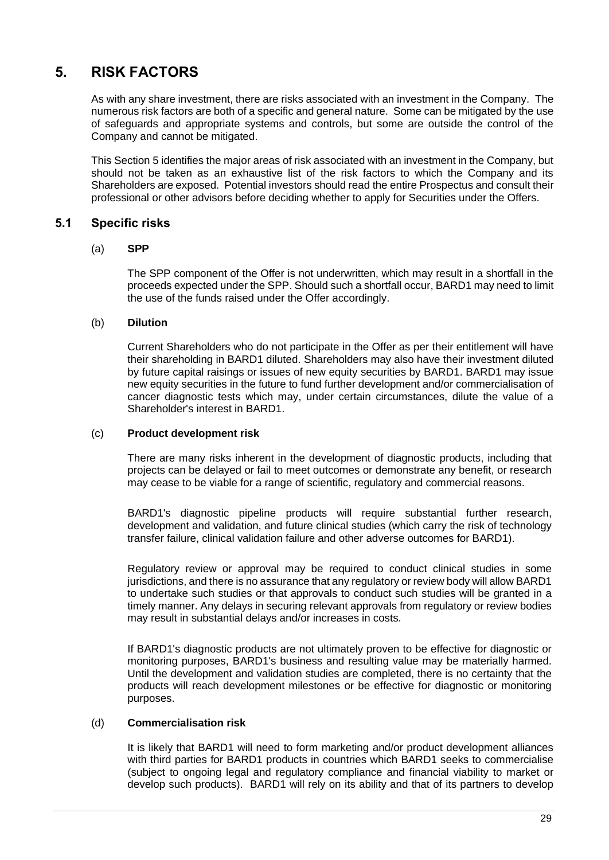## <span id="page-30-0"></span>**5. RISK FACTORS**

As with any share investment, there are risks associated with an investment in the Company. The numerous risk factors are both of a specific and general nature. Some can be mitigated by the use of safeguards and appropriate systems and controls, but some are outside the control of the Company and cannot be mitigated.

This Section [5](#page-30-0) identifies the major areas of risk associated with an investment in the Company, but should not be taken as an exhaustive list of the risk factors to which the Company and its Shareholders are exposed. Potential investors should read the entire Prospectus and consult their professional or other advisors before deciding whether to apply for Securities under the Offers.

#### **5.1 Specific risks**

#### (a) **SPP**

The SPP component of the Offer is not underwritten, which may result in a shortfall in the proceeds expected under the SPP. Should such a shortfall occur, BARD1 may need to limit the use of the funds raised under the Offer accordingly.

#### (b) **Dilution**

Current Shareholders who do not participate in the Offer as per their entitlement will have their shareholding in BARD1 diluted. Shareholders may also have their investment diluted by future capital raisings or issues of new equity securities by BARD1. BARD1 may issue new equity securities in the future to fund further development and/or commercialisation of cancer diagnostic tests which may, under certain circumstances, dilute the value of a Shareholder's interest in BARD1.

#### (c) **Product development risk**

There are many risks inherent in the development of diagnostic products, including that projects can be delayed or fail to meet outcomes or demonstrate any benefit, or research may cease to be viable for a range of scientific, regulatory and commercial reasons.

BARD1's diagnostic pipeline products will require substantial further research, development and validation, and future clinical studies (which carry the risk of technology transfer failure, clinical validation failure and other adverse outcomes for BARD1).

Regulatory review or approval may be required to conduct clinical studies in some jurisdictions, and there is no assurance that any regulatory or review body will allow BARD1 to undertake such studies or that approvals to conduct such studies will be granted in a timely manner. Any delays in securing relevant approvals from regulatory or review bodies may result in substantial delays and/or increases in costs.

If BARD1's diagnostic products are not ultimately proven to be effective for diagnostic or monitoring purposes, BARD1's business and resulting value may be materially harmed. Until the development and validation studies are completed, there is no certainty that the products will reach development milestones or be effective for diagnostic or monitoring purposes.

#### (d) **Commercialisation risk**

It is likely that BARD1 will need to form marketing and/or product development alliances with third parties for BARD1 products in countries which BARD1 seeks to commercialise (subject to ongoing legal and regulatory compliance and financial viability to market or develop such products). BARD1 will rely on its ability and that of its partners to develop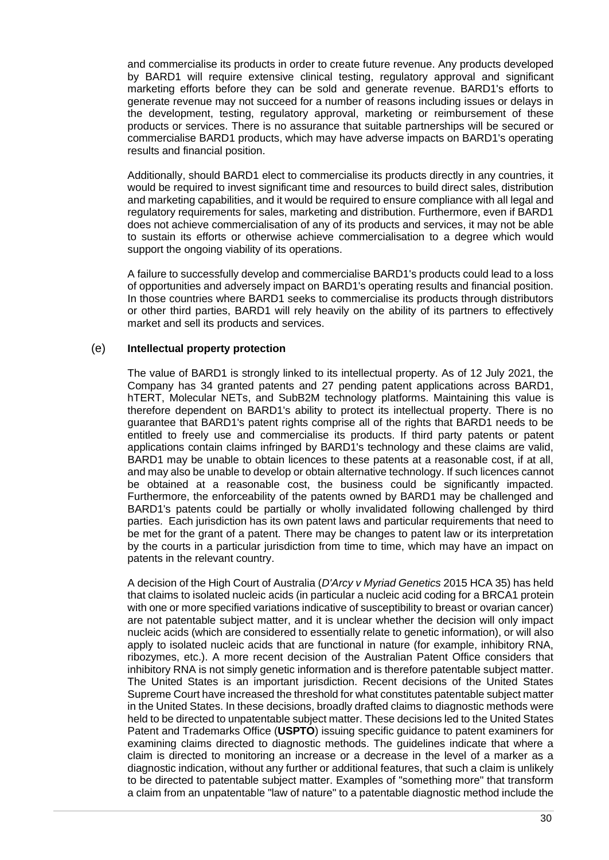and commercialise its products in order to create future revenue. Any products developed by BARD1 will require extensive clinical testing, regulatory approval and significant marketing efforts before they can be sold and generate revenue. BARD1's efforts to generate revenue may not succeed for a number of reasons including issues or delays in the development, testing, regulatory approval, marketing or reimbursement of these products or services. There is no assurance that suitable partnerships will be secured or commercialise BARD1 products, which may have adverse impacts on BARD1's operating results and financial position.

Additionally, should BARD1 elect to commercialise its products directly in any countries, it would be required to invest significant time and resources to build direct sales, distribution and marketing capabilities, and it would be required to ensure compliance with all legal and regulatory requirements for sales, marketing and distribution. Furthermore, even if BARD1 does not achieve commercialisation of any of its products and services, it may not be able to sustain its efforts or otherwise achieve commercialisation to a degree which would support the ongoing viability of its operations.

A failure to successfully develop and commercialise BARD1's products could lead to a loss of opportunities and adversely impact on BARD1's operating results and financial position. In those countries where BARD1 seeks to commercialise its products through distributors or other third parties, BARD1 will rely heavily on the ability of its partners to effectively market and sell its products and services.

#### (e) **Intellectual property protection**

The value of BARD1 is strongly linked to its intellectual property. As of 12 July 2021, the Company has 34 granted patents and 27 pending patent applications across BARD1, hTERT, Molecular NETs, and SubB2M technology platforms. Maintaining this value is therefore dependent on BARD1's ability to protect its intellectual property. There is no guarantee that BARD1's patent rights comprise all of the rights that BARD1 needs to be entitled to freely use and commercialise its products. If third party patents or patent applications contain claims infringed by BARD1's technology and these claims are valid, BARD1 may be unable to obtain licences to these patents at a reasonable cost, if at all, and may also be unable to develop or obtain alternative technology. If such licences cannot be obtained at a reasonable cost, the business could be significantly impacted. Furthermore, the enforceability of the patents owned by BARD1 may be challenged and BARD1's patents could be partially or wholly invalidated following challenged by third parties. Each jurisdiction has its own patent laws and particular requirements that need to be met for the grant of a patent. There may be changes to patent law or its interpretation by the courts in a particular jurisdiction from time to time, which may have an impact on patents in the relevant country.

A decision of the High Court of Australia (*D'Arcy v Myriad Genetics* 2015 HCA 35) has held that claims to isolated nucleic acids (in particular a nucleic acid coding for a BRCA1 protein with one or more specified variations indicative of susceptibility to breast or ovarian cancer) are not patentable subject matter, and it is unclear whether the decision will only impact nucleic acids (which are considered to essentially relate to genetic information), or will also apply to isolated nucleic acids that are functional in nature (for example, inhibitory RNA, ribozymes, etc.). A more recent decision of the Australian Patent Office considers that inhibitory RNA is not simply genetic information and is therefore patentable subject matter. The United States is an important jurisdiction. Recent decisions of the United States Supreme Court have increased the threshold for what constitutes patentable subject matter in the United States. In these decisions, broadly drafted claims to diagnostic methods were held to be directed to unpatentable subject matter. These decisions led to the United States Patent and Trademarks Office (**USPTO**) issuing specific guidance to patent examiners for examining claims directed to diagnostic methods. The guidelines indicate that where a claim is directed to monitoring an increase or a decrease in the level of a marker as a diagnostic indication, without any further or additional features, that such a claim is unlikely to be directed to patentable subject matter. Examples of "something more" that transform a claim from an unpatentable "law of nature" to a patentable diagnostic method include the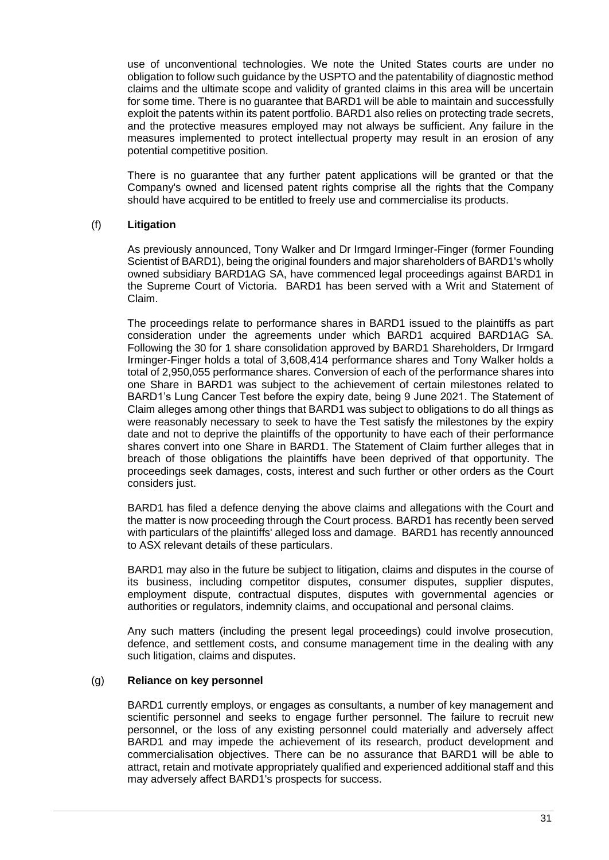use of unconventional technologies. We note the United States courts are under no obligation to follow such guidance by the USPTO and the patentability of diagnostic method claims and the ultimate scope and validity of granted claims in this area will be uncertain for some time. There is no guarantee that BARD1 will be able to maintain and successfully exploit the patents within its patent portfolio. BARD1 also relies on protecting trade secrets, and the protective measures employed may not always be sufficient. Any failure in the measures implemented to protect intellectual property may result in an erosion of any potential competitive position.

There is no guarantee that any further patent applications will be granted or that the Company's owned and licensed patent rights comprise all the rights that the Company should have acquired to be entitled to freely use and commercialise its products.

#### <span id="page-32-0"></span>(f) **Litigation**

As previously announced, Tony Walker and Dr Irmgard Irminger-Finger (former Founding Scientist of BARD1), being the original founders and major shareholders of BARD1's wholly owned subsidiary BARD1AG SA, have commenced legal proceedings against BARD1 in the Supreme Court of Victoria. BARD1 has been served with a Writ and Statement of Claim.

The proceedings relate to performance shares in BARD1 issued to the plaintiffs as part consideration under the agreements under which BARD1 acquired BARD1AG SA. Following the 30 for 1 share consolidation approved by BARD1 Shareholders, Dr Irmgard Irminger-Finger holds a total of 3,608,414 performance shares and Tony Walker holds a total of 2,950,055 performance shares. Conversion of each of the performance shares into one Share in BARD1 was subject to the achievement of certain milestones related to BARD1's Lung Cancer Test before the expiry date, being 9 June 2021. The Statement of Claim alleges among other things that BARD1 was subject to obligations to do all things as were reasonably necessary to seek to have the Test satisfy the milestones by the expiry date and not to deprive the plaintiffs of the opportunity to have each of their performance shares convert into one Share in BARD1. The Statement of Claim further alleges that in breach of those obligations the plaintiffs have been deprived of that opportunity. The proceedings seek damages, costs, interest and such further or other orders as the Court considers just.

BARD1 has filed a defence denying the above claims and allegations with the Court and the matter is now proceeding through the Court process. BARD1 has recently been served with particulars of the plaintiffs' alleged loss and damage. BARD1 has recently announced to ASX relevant details of these particulars.

BARD1 may also in the future be subject to litigation, claims and disputes in the course of its business, including competitor disputes, consumer disputes, supplier disputes, employment dispute, contractual disputes, disputes with governmental agencies or authorities or regulators, indemnity claims, and occupational and personal claims.

Any such matters (including the present legal proceedings) could involve prosecution, defence, and settlement costs, and consume management time in the dealing with any such litigation, claims and disputes.

#### (g) **Reliance on key personnel**

BARD1 currently employs, or engages as consultants, a number of key management and scientific personnel and seeks to engage further personnel. The failure to recruit new personnel, or the loss of any existing personnel could materially and adversely affect BARD1 and may impede the achievement of its research, product development and commercialisation objectives. There can be no assurance that BARD1 will be able to attract, retain and motivate appropriately qualified and experienced additional staff and this may adversely affect BARD1's prospects for success.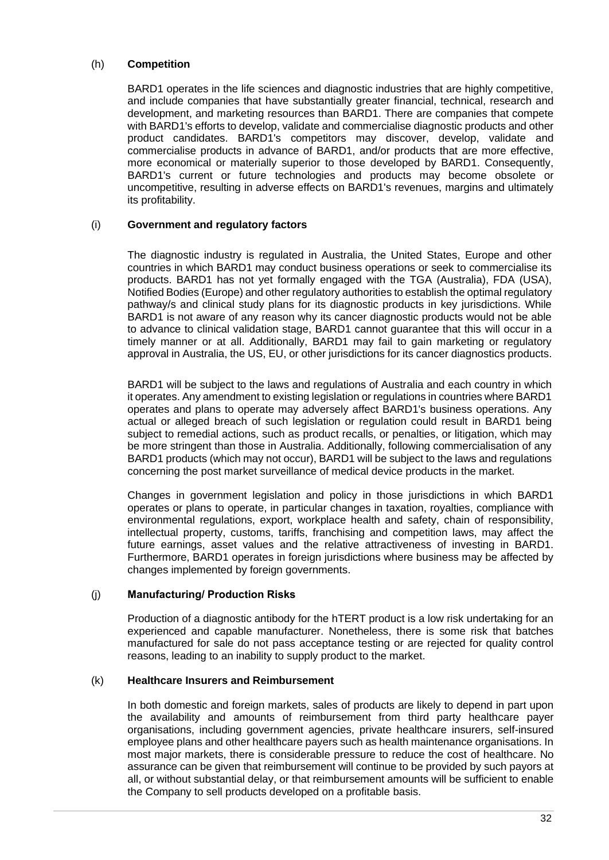#### (h) **Competition**

BARD1 operates in the life sciences and diagnostic industries that are highly competitive, and include companies that have substantially greater financial, technical, research and development, and marketing resources than BARD1. There are companies that compete with BARD1's efforts to develop, validate and commercialise diagnostic products and other product candidates. BARD1's competitors may discover, develop, validate and commercialise products in advance of BARD1, and/or products that are more effective, more economical or materially superior to those developed by BARD1. Consequently, BARD1's current or future technologies and products may become obsolete or uncompetitive, resulting in adverse effects on BARD1's revenues, margins and ultimately its profitability.

#### (i) **Government and regulatory factors**

The diagnostic industry is regulated in Australia, the United States, Europe and other countries in which BARD1 may conduct business operations or seek to commercialise its products. BARD1 has not yet formally engaged with the TGA (Australia), FDA (USA), Notified Bodies (Europe) and other regulatory authorities to establish the optimal regulatory pathway/s and clinical study plans for its diagnostic products in key jurisdictions. While BARD1 is not aware of any reason why its cancer diagnostic products would not be able to advance to clinical validation stage, BARD1 cannot guarantee that this will occur in a timely manner or at all. Additionally, BARD1 may fail to gain marketing or regulatory approval in Australia, the US, EU, or other jurisdictions for its cancer diagnostics products.

BARD1 will be subject to the laws and regulations of Australia and each country in which it operates. Any amendment to existing legislation or regulations in countries where BARD1 operates and plans to operate may adversely affect BARD1's business operations. Any actual or alleged breach of such legislation or regulation could result in BARD1 being subject to remedial actions, such as product recalls, or penalties, or litigation, which may be more stringent than those in Australia. Additionally, following commercialisation of any BARD1 products (which may not occur), BARD1 will be subject to the laws and regulations concerning the post market surveillance of medical device products in the market.

Changes in government legislation and policy in those jurisdictions in which BARD1 operates or plans to operate, in particular changes in taxation, royalties, compliance with environmental regulations, export, workplace health and safety, chain of responsibility, intellectual property, customs, tariffs, franchising and competition laws, may affect the future earnings, asset values and the relative attractiveness of investing in BARD1. Furthermore, BARD1 operates in foreign jurisdictions where business may be affected by changes implemented by foreign governments.

#### (j) **Manufacturing/ Production Risks**

Production of a diagnostic antibody for the hTERT product is a low risk undertaking for an experienced and capable manufacturer. Nonetheless, there is some risk that batches manufactured for sale do not pass acceptance testing or are rejected for quality control reasons, leading to an inability to supply product to the market.

#### (k) **Healthcare Insurers and Reimbursement**

In both domestic and foreign markets, sales of products are likely to depend in part upon the availability and amounts of reimbursement from third party healthcare payer organisations, including government agencies, private healthcare insurers, self-insured employee plans and other healthcare payers such as health maintenance organisations. In most major markets, there is considerable pressure to reduce the cost of healthcare. No assurance can be given that reimbursement will continue to be provided by such payors at all, or without substantial delay, or that reimbursement amounts will be sufficient to enable the Company to sell products developed on a profitable basis.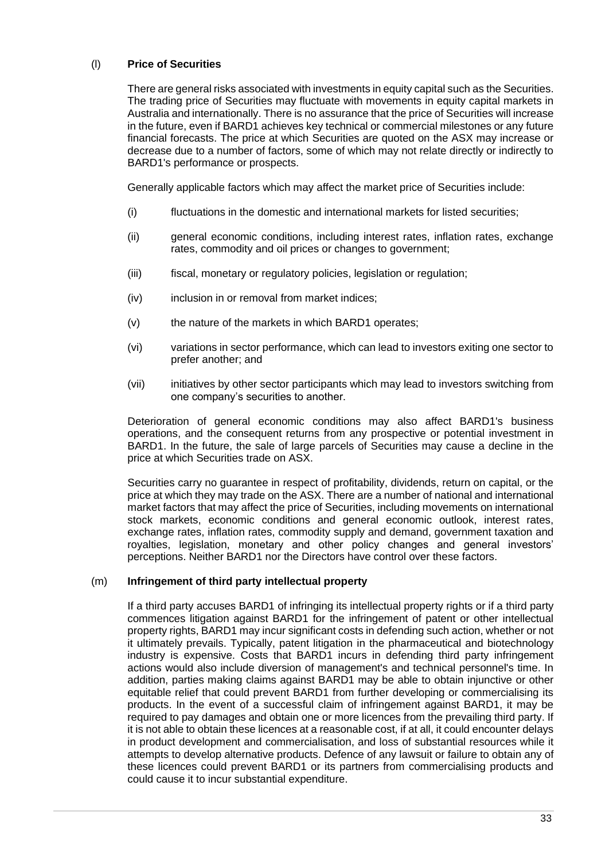#### (l) **Price of Securities**

There are general risks associated with investments in equity capital such as the Securities. The trading price of Securities may fluctuate with movements in equity capital markets in Australia and internationally. There is no assurance that the price of Securities will increase in the future, even if BARD1 achieves key technical or commercial milestones or any future financial forecasts. The price at which Securities are quoted on the ASX may increase or decrease due to a number of factors, some of which may not relate directly or indirectly to BARD1's performance or prospects.

Generally applicable factors which may affect the market price of Securities include:

- (i) fluctuations in the domestic and international markets for listed securities;
- (ii) general economic conditions, including interest rates, inflation rates, exchange rates, commodity and oil prices or changes to government;
- (iii) fiscal, monetary or regulatory policies, legislation or regulation;
- (iv) inclusion in or removal from market indices:
- (v) the nature of the markets in which BARD1 operates;
- (vi) variations in sector performance, which can lead to investors exiting one sector to prefer another; and
- (vii) initiatives by other sector participants which may lead to investors switching from one company's securities to another.

Deterioration of general economic conditions may also affect BARD1's business operations, and the consequent returns from any prospective or potential investment in BARD1. In the future, the sale of large parcels of Securities may cause a decline in the price at which Securities trade on ASX.

Securities carry no guarantee in respect of profitability, dividends, return on capital, or the price at which they may trade on the ASX. There are a number of national and international market factors that may affect the price of Securities, including movements on international stock markets, economic conditions and general economic outlook, interest rates, exchange rates, inflation rates, commodity supply and demand, government taxation and royalties, legislation, monetary and other policy changes and general investors' perceptions. Neither BARD1 nor the Directors have control over these factors.

#### (m) **Infringement of third party intellectual property**

If a third party accuses BARD1 of infringing its intellectual property rights or if a third party commences litigation against BARD1 for the infringement of patent or other intellectual property rights, BARD1 may incur significant costs in defending such action, whether or not it ultimately prevails. Typically, patent litigation in the pharmaceutical and biotechnology industry is expensive. Costs that BARD1 incurs in defending third party infringement actions would also include diversion of management's and technical personnel's time. In addition, parties making claims against BARD1 may be able to obtain injunctive or other equitable relief that could prevent BARD1 from further developing or commercialising its products. In the event of a successful claim of infringement against BARD1, it may be required to pay damages and obtain one or more licences from the prevailing third party. If it is not able to obtain these licences at a reasonable cost, if at all, it could encounter delays in product development and commercialisation, and loss of substantial resources while it attempts to develop alternative products. Defence of any lawsuit or failure to obtain any of these licences could prevent BARD1 or its partners from commercialising products and could cause it to incur substantial expenditure.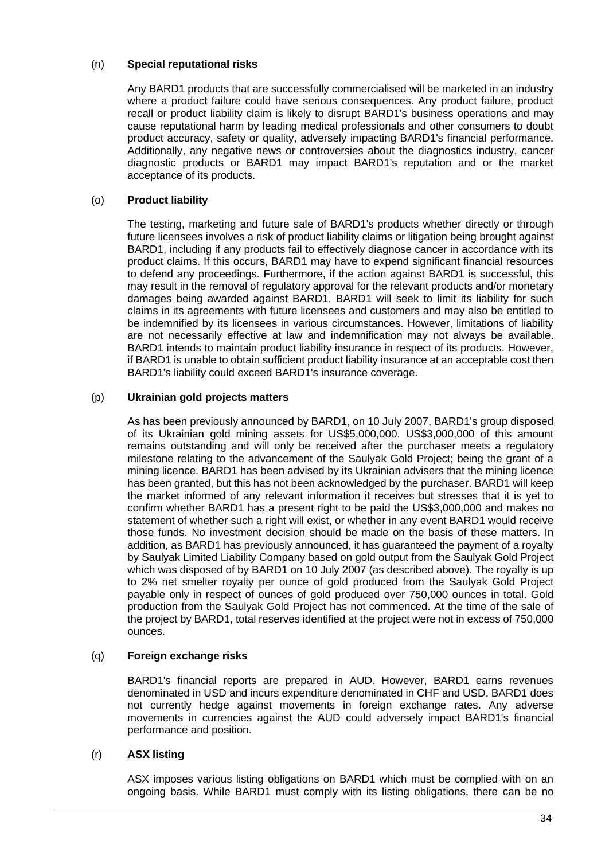#### (n) **Special reputational risks**

Any BARD1 products that are successfully commercialised will be marketed in an industry where a product failure could have serious consequences. Any product failure, product recall or product liability claim is likely to disrupt BARD1's business operations and may cause reputational harm by leading medical professionals and other consumers to doubt product accuracy, safety or quality, adversely impacting BARD1's financial performance. Additionally, any negative news or controversies about the diagnostics industry, cancer diagnostic products or BARD1 may impact BARD1's reputation and or the market acceptance of its products.

#### (o) **Product liability**

The testing, marketing and future sale of BARD1's products whether directly or through future licensees involves a risk of product liability claims or litigation being brought against BARD1, including if any products fail to effectively diagnose cancer in accordance with its product claims. If this occurs, BARD1 may have to expend significant financial resources to defend any proceedings. Furthermore, if the action against BARD1 is successful, this may result in the removal of regulatory approval for the relevant products and/or monetary damages being awarded against BARD1. BARD1 will seek to limit its liability for such claims in its agreements with future licensees and customers and may also be entitled to be indemnified by its licensees in various circumstances. However, limitations of liability are not necessarily effective at law and indemnification may not always be available. BARD1 intends to maintain product liability insurance in respect of its products. However, if BARD1 is unable to obtain sufficient product liability insurance at an acceptable cost then BARD1's liability could exceed BARD1's insurance coverage.

#### (p) **Ukrainian gold projects matters**

As has been previously announced by BARD1, on 10 July 2007, BARD1's group disposed of its Ukrainian gold mining assets for US\$5,000,000. US\$3,000,000 of this amount remains outstanding and will only be received after the purchaser meets a regulatory milestone relating to the advancement of the Saulyak Gold Project; being the grant of a mining licence. BARD1 has been advised by its Ukrainian advisers that the mining licence has been granted, but this has not been acknowledged by the purchaser. BARD1 will keep the market informed of any relevant information it receives but stresses that it is yet to confirm whether BARD1 has a present right to be paid the US\$3,000,000 and makes no statement of whether such a right will exist, or whether in any event BARD1 would receive those funds. No investment decision should be made on the basis of these matters. In addition, as BARD1 has previously announced, it has guaranteed the payment of a royalty by Saulyak Limited Liability Company based on gold output from the Saulyak Gold Project which was disposed of by BARD1 on 10 July 2007 (as described above). The royalty is up to 2% net smelter royalty per ounce of gold produced from the Saulyak Gold Project payable only in respect of ounces of gold produced over 750,000 ounces in total. Gold production from the Saulyak Gold Project has not commenced. At the time of the sale of the project by BARD1, total reserves identified at the project were not in excess of 750,000 ounces.

#### (q) **Foreign exchange risks**

BARD1's financial reports are prepared in AUD. However, BARD1 earns revenues denominated in USD and incurs expenditure denominated in CHF and USD. BARD1 does not currently hedge against movements in foreign exchange rates. Any adverse movements in currencies against the AUD could adversely impact BARD1's financial performance and position.

#### (r) **ASX listing**

ASX imposes various listing obligations on BARD1 which must be complied with on an ongoing basis. While BARD1 must comply with its listing obligations, there can be no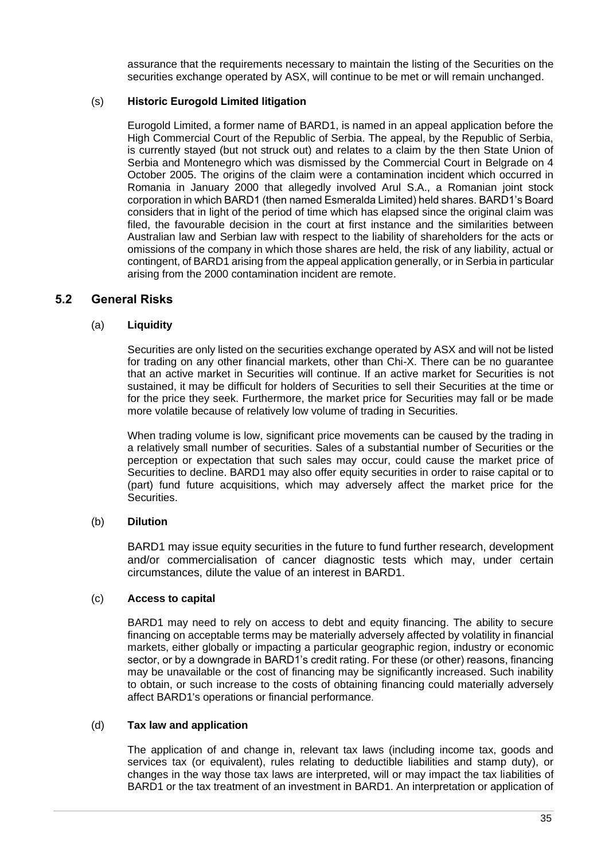assurance that the requirements necessary to maintain the listing of the Securities on the securities exchange operated by ASX, will continue to be met or will remain unchanged.

#### (s) **Historic Eurogold Limited litigation**

Eurogold Limited, a former name of BARD1, is named in an appeal application before the High Commercial Court of the Republic of Serbia. The appeal, by the Republic of Serbia, is currently stayed (but not struck out) and relates to a claim by the then State Union of Serbia and Montenegro which was dismissed by the Commercial Court in Belgrade on 4 October 2005. The origins of the claim were a contamination incident which occurred in Romania in January 2000 that allegedly involved Arul S.A., a Romanian joint stock corporation in which BARD1 (then named Esmeralda Limited) held shares. BARD1's Board considers that in light of the period of time which has elapsed since the original claim was filed, the favourable decision in the court at first instance and the similarities between Australian law and Serbian law with respect to the liability of shareholders for the acts or omissions of the company in which those shares are held, the risk of any liability, actual or contingent, of BARD1 arising from the appeal application generally, or in Serbia in particular arising from the 2000 contamination incident are remote.

#### **5.2 General Risks**

#### (a) **Liquidity**

Securities are only listed on the securities exchange operated by ASX and will not be listed for trading on any other financial markets, other than Chi-X. There can be no guarantee that an active market in Securities will continue. If an active market for Securities is not sustained, it may be difficult for holders of Securities to sell their Securities at the time or for the price they seek. Furthermore, the market price for Securities may fall or be made more volatile because of relatively low volume of trading in Securities.

When trading volume is low, significant price movements can be caused by the trading in a relatively small number of securities. Sales of a substantial number of Securities or the perception or expectation that such sales may occur, could cause the market price of Securities to decline. BARD1 may also offer equity securities in order to raise capital or to (part) fund future acquisitions, which may adversely affect the market price for the Securities.

#### (b) **Dilution**

BARD1 may issue equity securities in the future to fund further research, development and/or commercialisation of cancer diagnostic tests which may, under certain circumstances, dilute the value of an interest in BARD1.

#### (c) **Access to capital**

BARD1 may need to rely on access to debt and equity financing. The ability to secure financing on acceptable terms may be materially adversely affected by volatility in financial markets, either globally or impacting a particular geographic region, industry or economic sector, or by a downgrade in BARD1's credit rating. For these (or other) reasons, financing may be unavailable or the cost of financing may be significantly increased. Such inability to obtain, or such increase to the costs of obtaining financing could materially adversely affect BARD1's operations or financial performance.

#### (d) **Tax law and application**

The application of and change in, relevant tax laws (including income tax, goods and services tax (or equivalent), rules relating to deductible liabilities and stamp duty), or changes in the way those tax laws are interpreted, will or may impact the tax liabilities of BARD1 or the tax treatment of an investment in BARD1. An interpretation or application of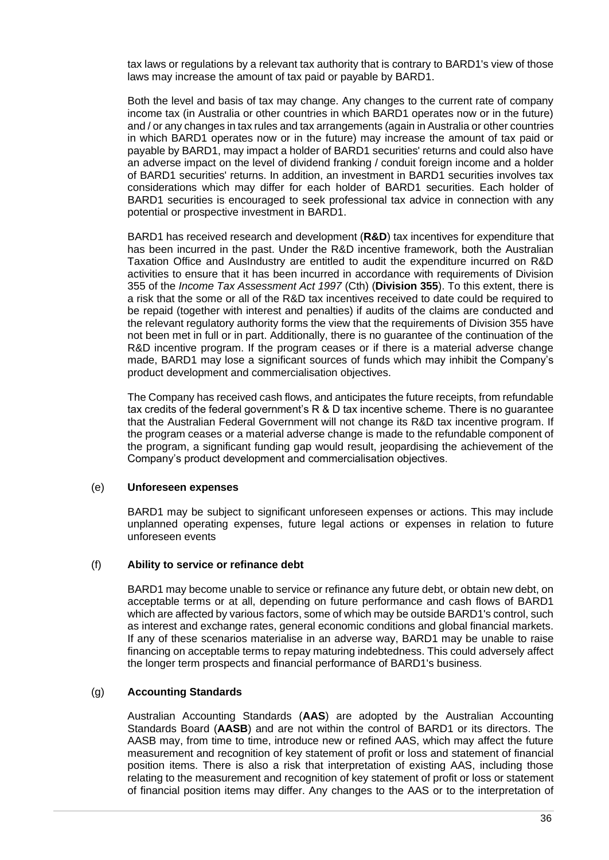tax laws or regulations by a relevant tax authority that is contrary to BARD1's view of those laws may increase the amount of tax paid or payable by BARD1.

Both the level and basis of tax may change. Any changes to the current rate of company income tax (in Australia or other countries in which BARD1 operates now or in the future) and / or any changes in tax rules and tax arrangements (again in Australia or other countries in which BARD1 operates now or in the future) may increase the amount of tax paid or payable by BARD1, may impact a holder of BARD1 securities' returns and could also have an adverse impact on the level of dividend franking / conduit foreign income and a holder of BARD1 securities' returns. In addition, an investment in BARD1 securities involves tax considerations which may differ for each holder of BARD1 securities. Each holder of BARD1 securities is encouraged to seek professional tax advice in connection with any potential or prospective investment in BARD1.

BARD1 has received research and development (**R&D**) tax incentives for expenditure that has been incurred in the past. Under the R&D incentive framework, both the Australian Taxation Office and AusIndustry are entitled to audit the expenditure incurred on R&D activities to ensure that it has been incurred in accordance with requirements of Division 355 of the *Income Tax Assessment Act 1997* (Cth) (**Division 355**). To this extent, there is a risk that the some or all of the R&D tax incentives received to date could be required to be repaid (together with interest and penalties) if audits of the claims are conducted and the relevant regulatory authority forms the view that the requirements of Division 355 have not been met in full or in part. Additionally, there is no guarantee of the continuation of the R&D incentive program. If the program ceases or if there is a material adverse change made, BARD1 may lose a significant sources of funds which may inhibit the Company's product development and commercialisation objectives.

The Company has received cash flows, and anticipates the future receipts, from refundable tax credits of the federal government's R & D tax incentive scheme. There is no guarantee that the Australian Federal Government will not change its R&D tax incentive program. If the program ceases or a material adverse change is made to the refundable component of the program, a significant funding gap would result, jeopardising the achievement of the Company's product development and commercialisation objectives.

#### (e) **Unforeseen expenses**

BARD1 may be subject to significant unforeseen expenses or actions. This may include unplanned operating expenses, future legal actions or expenses in relation to future unforeseen events

#### (f) **Ability to service or refinance debt**

BARD1 may become unable to service or refinance any future debt, or obtain new debt, on acceptable terms or at all, depending on future performance and cash flows of BARD1 which are affected by various factors, some of which may be outside BARD1's control, such as interest and exchange rates, general economic conditions and global financial markets. If any of these scenarios materialise in an adverse way, BARD1 may be unable to raise financing on acceptable terms to repay maturing indebtedness. This could adversely affect the longer term prospects and financial performance of BARD1's business.

#### (g) **Accounting Standards**

Australian Accounting Standards (**AAS**) are adopted by the Australian Accounting Standards Board (**AASB**) and are not within the control of BARD1 or its directors. The AASB may, from time to time, introduce new or refined AAS, which may affect the future measurement and recognition of key statement of profit or loss and statement of financial position items. There is also a risk that interpretation of existing AAS, including those relating to the measurement and recognition of key statement of profit or loss or statement of financial position items may differ. Any changes to the AAS or to the interpretation of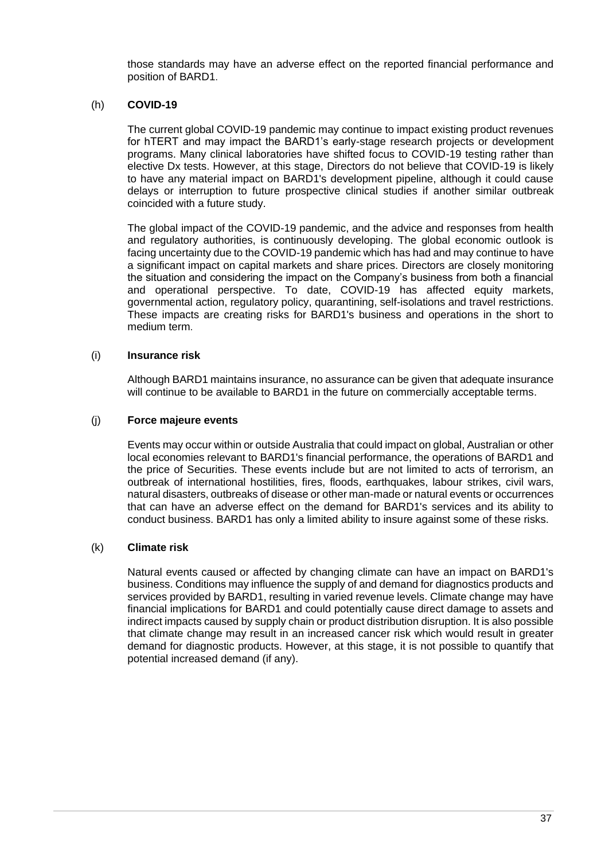those standards may have an adverse effect on the reported financial performance and position of BARD1.

#### (h) **COVID-19**

The current global COVID-19 pandemic may continue to impact existing product revenues for hTERT and may impact the BARD1's early-stage research projects or development programs. Many clinical laboratories have shifted focus to COVID-19 testing rather than elective Dx tests. However, at this stage, Directors do not believe that COVID-19 is likely to have any material impact on BARD1's development pipeline, although it could cause delays or interruption to future prospective clinical studies if another similar outbreak coincided with a future study.

The global impact of the COVID-19 pandemic, and the advice and responses from health and regulatory authorities, is continuously developing. The global economic outlook is facing uncertainty due to the COVID-19 pandemic which has had and may continue to have a significant impact on capital markets and share prices. Directors are closely monitoring the situation and considering the impact on the Company's business from both a financial and operational perspective. To date, COVID-19 has affected equity markets, governmental action, regulatory policy, quarantining, self-isolations and travel restrictions. These impacts are creating risks for BARD1's business and operations in the short to medium term.

#### (i) **Insurance risk**

Although BARD1 maintains insurance, no assurance can be given that adequate insurance will continue to be available to BARD1 in the future on commercially acceptable terms.

#### (j) **Force majeure events**

Events may occur within or outside Australia that could impact on global, Australian or other local economies relevant to BARD1's financial performance, the operations of BARD1 and the price of Securities. These events include but are not limited to acts of terrorism, an outbreak of international hostilities, fires, floods, earthquakes, labour strikes, civil wars, natural disasters, outbreaks of disease or other man-made or natural events or occurrences that can have an adverse effect on the demand for BARD1's services and its ability to conduct business. BARD1 has only a limited ability to insure against some of these risks.

#### (k) **Climate risk**

Natural events caused or affected by changing climate can have an impact on BARD1's business. Conditions may influence the supply of and demand for diagnostics products and services provided by BARD1, resulting in varied revenue levels. Climate change may have financial implications for BARD1 and could potentially cause direct damage to assets and indirect impacts caused by supply chain or product distribution disruption. It is also possible that climate change may result in an increased cancer risk which would result in greater demand for diagnostic products. However, at this stage, it is not possible to quantify that potential increased demand (if any).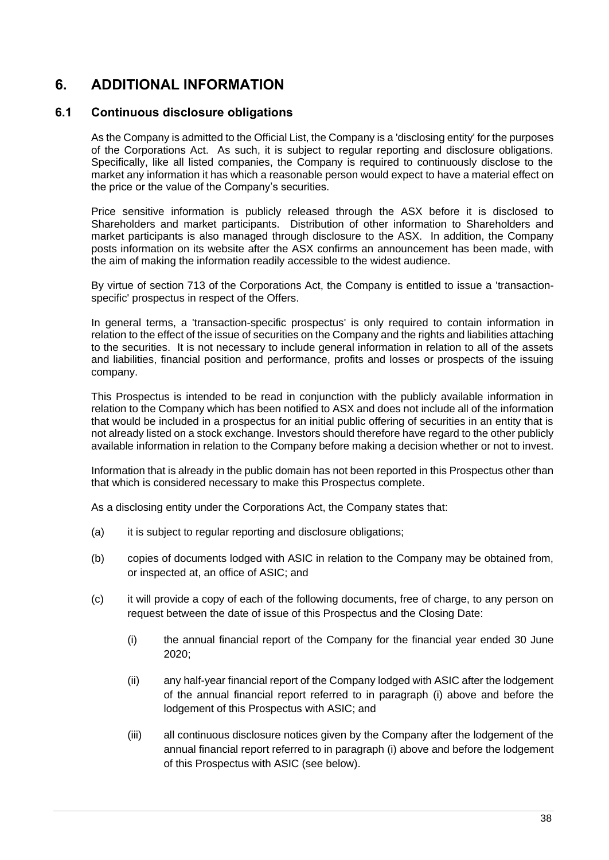## <span id="page-39-0"></span>**6. ADDITIONAL INFORMATION**

#### **6.1 Continuous disclosure obligations**

As the Company is admitted to the Official List, the Company is a 'disclosing entity' for the purposes of the Corporations Act. As such, it is subject to regular reporting and disclosure obligations. Specifically, like all listed companies, the Company is required to continuously disclose to the market any information it has which a reasonable person would expect to have a material effect on the price or the value of the Company's securities.

Price sensitive information is publicly released through the ASX before it is disclosed to Shareholders and market participants. Distribution of other information to Shareholders and market participants is also managed through disclosure to the ASX. In addition, the Company posts information on its website after the ASX confirms an announcement has been made, with the aim of making the information readily accessible to the widest audience.

By virtue of section 713 of the Corporations Act, the Company is entitled to issue a 'transactionspecific' prospectus in respect of the Offers.

In general terms, a 'transaction-specific prospectus' is only required to contain information in relation to the effect of the issue of securities on the Company and the rights and liabilities attaching to the securities. It is not necessary to include general information in relation to all of the assets and liabilities, financial position and performance, profits and losses or prospects of the issuing company.

This Prospectus is intended to be read in conjunction with the publicly available information in relation to the Company which has been notified to ASX and does not include all of the information that would be included in a prospectus for an initial public offering of securities in an entity that is not already listed on a stock exchange. Investors should therefore have regard to the other publicly available information in relation to the Company before making a decision whether or not to invest.

Information that is already in the public domain has not been reported in this Prospectus other than that which is considered necessary to make this Prospectus complete.

As a disclosing entity under the Corporations Act, the Company states that:

- (a) it is subject to regular reporting and disclosure obligations;
- (b) copies of documents lodged with ASIC in relation to the Company may be obtained from, or inspected at, an office of ASIC; and
- <span id="page-39-1"></span>(c) it will provide a copy of each of the following documents, free of charge, to any person on request between the date of issue of this Prospectus and the Closing Date:
	- (i) the annual financial report of the Company for the financial year ended 30 June 2020;
	- (ii) any half-year financial report of the Company lodged with ASIC after the lodgement of the annual financial report referred to in paragraph [\(i\)](#page-39-1) above and before the lodgement of this Prospectus with ASIC; and
	- (iii) all continuous disclosure notices given by the Company after the lodgement of the annual financial report referred to in paragraph [\(i\)](#page-39-1) above and before the lodgement of this Prospectus with ASIC (see below).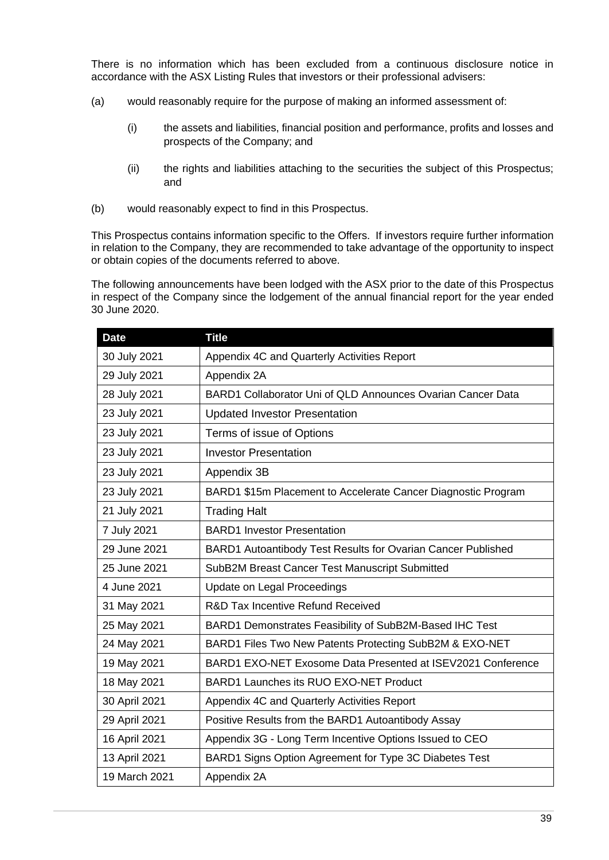There is no information which has been excluded from a continuous disclosure notice in accordance with the ASX Listing Rules that investors or their professional advisers:

- (a) would reasonably require for the purpose of making an informed assessment of:
	- (i) the assets and liabilities, financial position and performance, profits and losses and prospects of the Company; and
	- (ii) the rights and liabilities attaching to the securities the subject of this Prospectus; and
- (b) would reasonably expect to find in this Prospectus.

This Prospectus contains information specific to the Offers. If investors require further information in relation to the Company, they are recommended to take advantage of the opportunity to inspect or obtain copies of the documents referred to above.

The following announcements have been lodged with the ASX prior to the date of this Prospectus in respect of the Company since the lodgement of the annual financial report for the year ended 30 June 2020.

| <b>Date</b>   | <b>Title</b>                                                  |
|---------------|---------------------------------------------------------------|
| 30 July 2021  | Appendix 4C and Quarterly Activities Report                   |
| 29 July 2021  | Appendix 2A                                                   |
| 28 July 2021  | BARD1 Collaborator Uni of QLD Announces Ovarian Cancer Data   |
| 23 July 2021  | <b>Updated Investor Presentation</b>                          |
| 23 July 2021  | Terms of issue of Options                                     |
| 23 July 2021  | <b>Investor Presentation</b>                                  |
| 23 July 2021  | Appendix 3B                                                   |
| 23 July 2021  | BARD1 \$15m Placement to Accelerate Cancer Diagnostic Program |
| 21 July 2021  | <b>Trading Halt</b>                                           |
| 7 July 2021   | <b>BARD1</b> Investor Presentation                            |
| 29 June 2021  | BARD1 Autoantibody Test Results for Ovarian Cancer Published  |
| 25 June 2021  | SubB2M Breast Cancer Test Manuscript Submitted                |
| 4 June 2021   | Update on Legal Proceedings                                   |
| 31 May 2021   | R&D Tax Incentive Refund Received                             |
| 25 May 2021   | BARD1 Demonstrates Feasibility of SubB2M-Based IHC Test       |
| 24 May 2021   | BARD1 Files Two New Patents Protecting SubB2M & EXO-NET       |
| 19 May 2021   | BARD1 EXO-NET Exosome Data Presented at ISEV2021 Conference   |
| 18 May 2021   | BARD1 Launches its RUO EXO-NET Product                        |
| 30 April 2021 | Appendix 4C and Quarterly Activities Report                   |
| 29 April 2021 | Positive Results from the BARD1 Autoantibody Assay            |
| 16 April 2021 | Appendix 3G - Long Term Incentive Options Issued to CEO       |
| 13 April 2021 | BARD1 Signs Option Agreement for Type 3C Diabetes Test        |
| 19 March 2021 | Appendix 2A                                                   |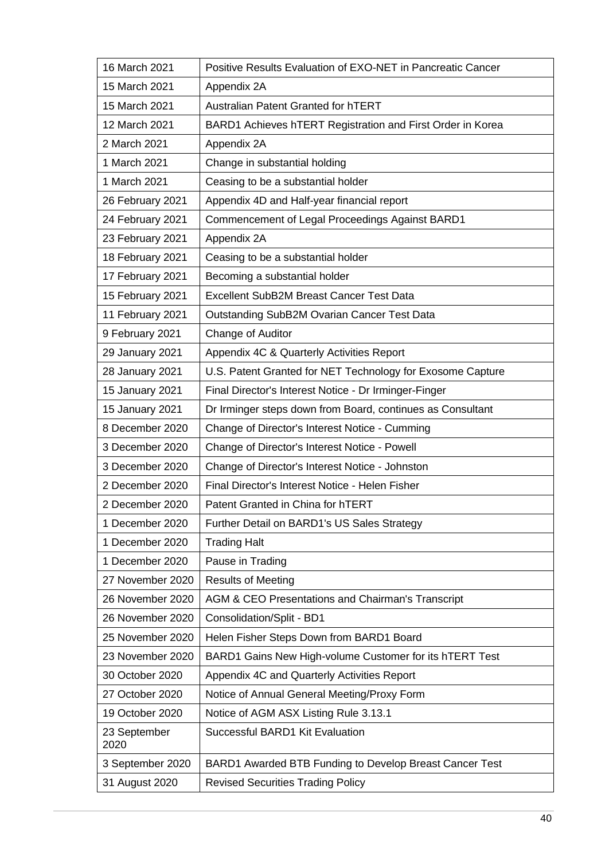| 16 March 2021        | Positive Results Evaluation of EXO-NET in Pancreatic Cancer |
|----------------------|-------------------------------------------------------------|
| 15 March 2021        | Appendix 2A                                                 |
| 15 March 2021        | Australian Patent Granted for hTERT                         |
| 12 March 2021        | BARD1 Achieves hTERT Registration and First Order in Korea  |
| 2 March 2021         | Appendix 2A                                                 |
| 1 March 2021         | Change in substantial holding                               |
| 1 March 2021         | Ceasing to be a substantial holder                          |
| 26 February 2021     | Appendix 4D and Half-year financial report                  |
| 24 February 2021     | Commencement of Legal Proceedings Against BARD1             |
| 23 February 2021     | Appendix 2A                                                 |
| 18 February 2021     | Ceasing to be a substantial holder                          |
| 17 February 2021     | Becoming a substantial holder                               |
| 15 February 2021     | Excellent SubB2M Breast Cancer Test Data                    |
| 11 February 2021     | <b>Outstanding SubB2M Ovarian Cancer Test Data</b>          |
| 9 February 2021      | Change of Auditor                                           |
| 29 January 2021      | Appendix 4C & Quarterly Activities Report                   |
| 28 January 2021      | U.S. Patent Granted for NET Technology for Exosome Capture  |
| 15 January 2021      | Final Director's Interest Notice - Dr Irminger-Finger       |
| 15 January 2021      | Dr Irminger steps down from Board, continues as Consultant  |
| 8 December 2020      | Change of Director's Interest Notice - Cumming              |
| 3 December 2020      | Change of Director's Interest Notice - Powell               |
| 3 December 2020      | Change of Director's Interest Notice - Johnston             |
| 2 December 2020      | Final Director's Interest Notice - Helen Fisher             |
| 2 December 2020      | Patent Granted in China for hTERT                           |
| 1 December 2020      | Further Detail on BARD1's US Sales Strategy                 |
| 1 December 2020      | <b>Trading Halt</b>                                         |
| 1 December 2020      | Pause in Trading                                            |
| 27 November 2020     | <b>Results of Meeting</b>                                   |
| 26 November 2020     | AGM & CEO Presentations and Chairman's Transcript           |
| 26 November 2020     | Consolidation/Split - BD1                                   |
| 25 November 2020     | Helen Fisher Steps Down from BARD1 Board                    |
| 23 November 2020     | BARD1 Gains New High-volume Customer for its hTERT Test     |
| 30 October 2020      | Appendix 4C and Quarterly Activities Report                 |
| 27 October 2020      | Notice of Annual General Meeting/Proxy Form                 |
| 19 October 2020      | Notice of AGM ASX Listing Rule 3.13.1                       |
| 23 September<br>2020 | Successful BARD1 Kit Evaluation                             |
| 3 September 2020     | BARD1 Awarded BTB Funding to Develop Breast Cancer Test     |
| 31 August 2020       | <b>Revised Securities Trading Policy</b>                    |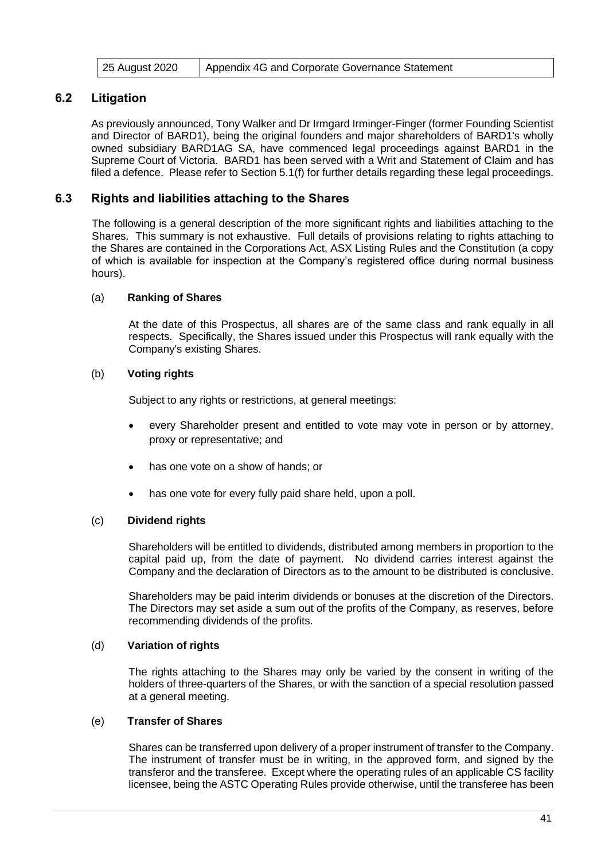|  | 25 August 2020 | Appendix 4G and Corporate Governance Statement |
|--|----------------|------------------------------------------------|
|--|----------------|------------------------------------------------|

#### **6.2 Litigation**

As previously announced, Tony Walker and Dr Irmgard Irminger-Finger (former Founding Scientist and Director of BARD1), being the original founders and major shareholders of BARD1's wholly owned subsidiary BARD1AG SA, have commenced legal proceedings against BARD1 in the Supreme Court of Victoria. BARD1 has been served with a Writ and Statement of Claim and has filed a defence. Please refer to Section 5.[1\(f\)](#page-32-0) for further details regarding these legal proceedings.

#### <span id="page-42-0"></span>**6.3 Rights and liabilities attaching to the Shares**

The following is a general description of the more significant rights and liabilities attaching to the Shares. This summary is not exhaustive. Full details of provisions relating to rights attaching to the Shares are contained in the Corporations Act, ASX Listing Rules and the Constitution (a copy of which is available for inspection at the Company's registered office during normal business hours).

#### (a) **Ranking of Shares**

At the date of this Prospectus, all shares are of the same class and rank equally in all respects. Specifically, the Shares issued under this Prospectus will rank equally with the Company's existing Shares.

#### (b) **Voting rights**

Subject to any rights or restrictions, at general meetings:

- every Shareholder present and entitled to vote may vote in person or by attorney, proxy or representative; and
- has one vote on a show of hands; or
- has one vote for every fully paid share held, upon a poll.

#### (c) **Dividend rights**

Shareholders will be entitled to dividends, distributed among members in proportion to the capital paid up, from the date of payment. No dividend carries interest against the Company and the declaration of Directors as to the amount to be distributed is conclusive.

Shareholders may be paid interim dividends or bonuses at the discretion of the Directors. The Directors may set aside a sum out of the profits of the Company, as reserves, before recommending dividends of the profits.

#### (d) **Variation of rights**

The rights attaching to the Shares may only be varied by the consent in writing of the holders of three-quarters of the Shares, or with the sanction of a special resolution passed at a general meeting.

#### (e) **Transfer of Shares**

Shares can be transferred upon delivery of a proper instrument of transfer to the Company. The instrument of transfer must be in writing, in the approved form, and signed by the transferor and the transferee. Except where the operating rules of an applicable CS facility licensee, being the ASTC Operating Rules provide otherwise, until the transferee has been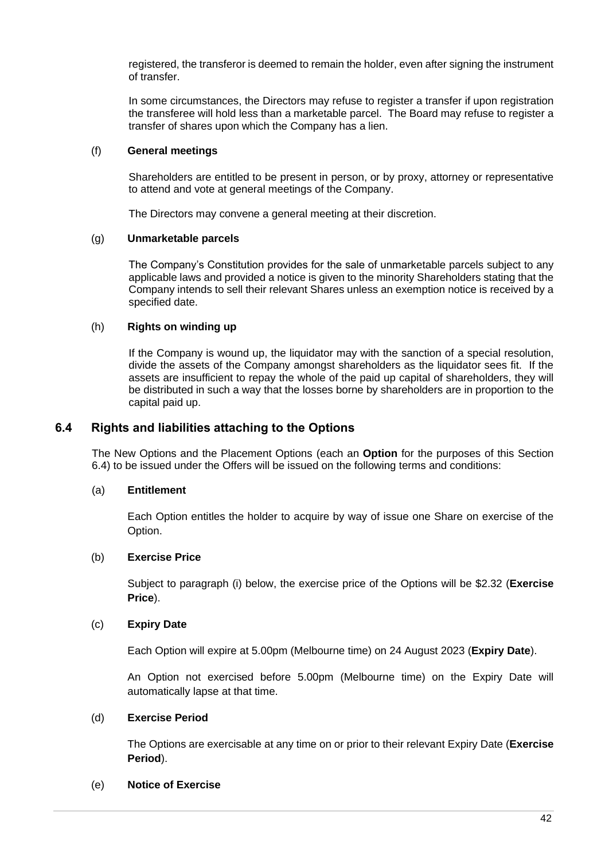registered, the transferor is deemed to remain the holder, even after signing the instrument of transfer.

In some circumstances, the Directors may refuse to register a transfer if upon registration the transferee will hold less than a marketable parcel. The Board may refuse to register a transfer of shares upon which the Company has a lien.

#### (f) **General meetings**

Shareholders are entitled to be present in person, or by proxy, attorney or representative to attend and vote at general meetings of the Company.

The Directors may convene a general meeting at their discretion.

#### (g) **Unmarketable parcels**

The Company's Constitution provides for the sale of unmarketable parcels subject to any applicable laws and provided a notice is given to the minority Shareholders stating that the Company intends to sell their relevant Shares unless an exemption notice is received by a specified date.

#### (h) **Rights on winding up**

If the Company is wound up, the liquidator may with the sanction of a special resolution, divide the assets of the Company amongst shareholders as the liquidator sees fit. If the assets are insufficient to repay the whole of the paid up capital of shareholders, they will be distributed in such a way that the losses borne by shareholders are in proportion to the capital paid up.

#### <span id="page-43-0"></span>**6.4 Rights and liabilities attaching to the Options**

The New Options and the Placement Options (each an **Option** for the purposes of this Section [6.4\)](#page-43-0) to be issued under the Offers will be issued on the following terms and conditions:

#### (a) **Entitlement**

Each Option entitles the holder to acquire by way of issue one Share on exercise of the Option.

#### (b) **Exercise Price**

Subject to paragraph [\(i\)](#page-44-0) below, the exercise price of the Options will be \$2.32 (**Exercise Price**).

#### (c) **Expiry Date**

Each Option will expire at 5.00pm (Melbourne time) on 24 August 2023 (**Expiry Date**).

An Option not exercised before 5.00pm (Melbourne time) on the Expiry Date will automatically lapse at that time.

#### (d) **Exercise Period**

The Options are exercisable at any time on or prior to their relevant Expiry Date (**Exercise Period**).

#### (e) **Notice of Exercise**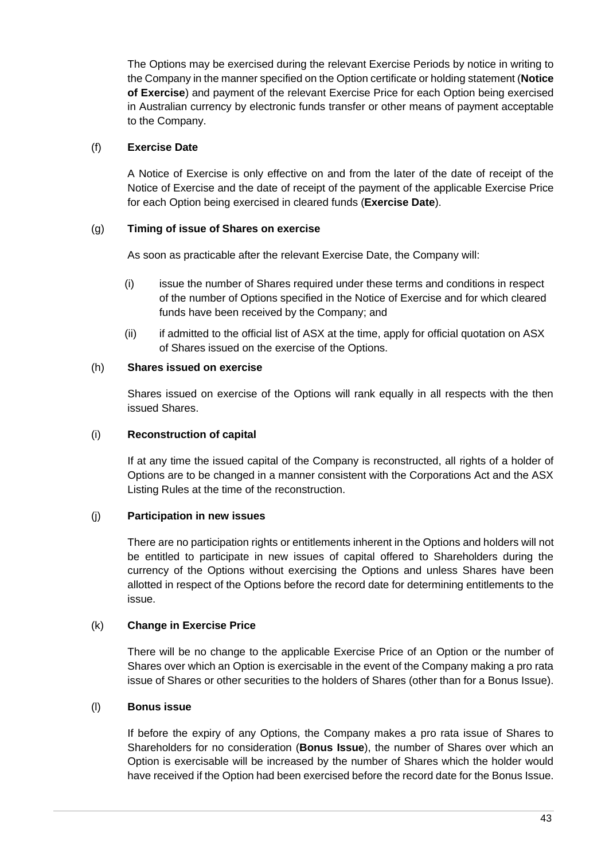The Options may be exercised during the relevant Exercise Periods by notice in writing to the Company in the manner specified on the Option certificate or holding statement (**Notice of Exercise**) and payment of the relevant Exercise Price for each Option being exercised in Australian currency by electronic funds transfer or other means of payment acceptable to the Company.

#### (f) **Exercise Date**

A Notice of Exercise is only effective on and from the later of the date of receipt of the Notice of Exercise and the date of receipt of the payment of the applicable Exercise Price for each Option being exercised in cleared funds (**Exercise Date**).

#### (g) **Timing of issue of Shares on exercise**

As soon as practicable after the relevant Exercise Date, the Company will:

- (i) issue the number of Shares required under these terms and conditions in respect of the number of Options specified in the Notice of Exercise and for which cleared funds have been received by the Company; and
- (ii) if admitted to the official list of ASX at the time, apply for official quotation on ASX of Shares issued on the exercise of the Options.

#### (h) **Shares issued on exercise**

Shares issued on exercise of the Options will rank equally in all respects with the then issued Shares.

#### <span id="page-44-0"></span>(i) **Reconstruction of capital**

If at any time the issued capital of the Company is reconstructed, all rights of a holder of Options are to be changed in a manner consistent with the Corporations Act and the ASX Listing Rules at the time of the reconstruction.

#### (j) **Participation in new issues**

There are no participation rights or entitlements inherent in the Options and holders will not be entitled to participate in new issues of capital offered to Shareholders during the currency of the Options without exercising the Options and unless Shares have been allotted in respect of the Options before the record date for determining entitlements to the issue.

#### (k) **Change in Exercise Price**

There will be no change to the applicable Exercise Price of an Option or the number of Shares over which an Option is exercisable in the event of the Company making a pro rata issue of Shares or other securities to the holders of Shares (other than for a Bonus Issue).

#### (l) **Bonus issue**

If before the expiry of any Options, the Company makes a pro rata issue of Shares to Shareholders for no consideration (**Bonus Issue**), the number of Shares over which an Option is exercisable will be increased by the number of Shares which the holder would have received if the Option had been exercised before the record date for the Bonus Issue.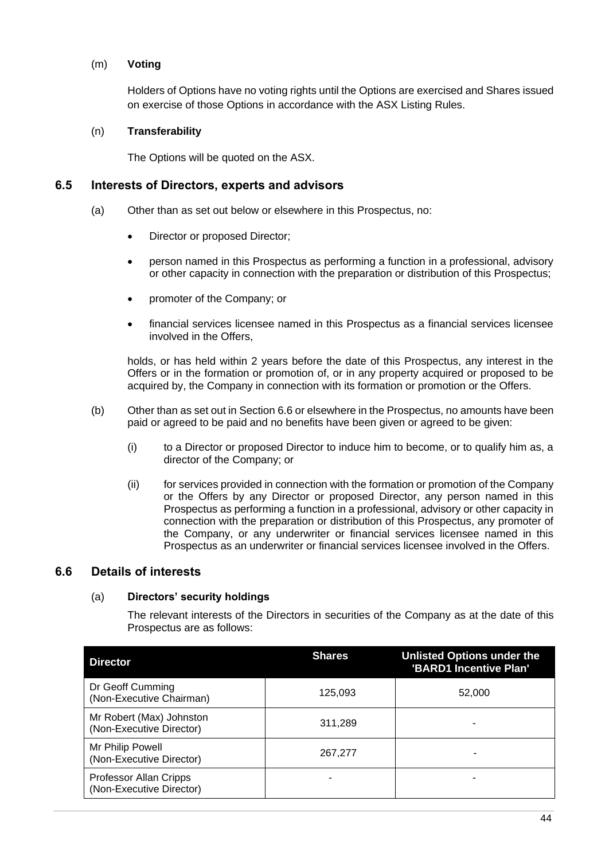#### (m) **Voting**

Holders of Options have no voting rights until the Options are exercised and Shares issued on exercise of those Options in accordance with the ASX Listing Rules.

#### (n) **Transferability**

The Options will be quoted on the ASX.

#### **6.5 Interests of Directors, experts and advisors**

- (a) Other than as set out below or elsewhere in this Prospectus, no:
	- Director or proposed Director;
	- person named in this Prospectus as performing a function in a professional, advisory or other capacity in connection with the preparation or distribution of this Prospectus;
	- promoter of the Company; or
	- financial services licensee named in this Prospectus as a financial services licensee involved in the Offers,

holds, or has held within 2 years before the date of this Prospectus, any interest in the Offers or in the formation or promotion of, or in any property acquired or proposed to be acquired by, the Company in connection with its formation or promotion or the Offers.

- (b) Other than as set out in Sectio[n 6.6](#page-45-0) or elsewhere in the Prospectus, no amounts have been paid or agreed to be paid and no benefits have been given or agreed to be given:
	- (i) to a Director or proposed Director to induce him to become, or to qualify him as, a director of the Company; or
	- (ii) for services provided in connection with the formation or promotion of the Company or the Offers by any Director or proposed Director, any person named in this Prospectus as performing a function in a professional, advisory or other capacity in connection with the preparation or distribution of this Prospectus, any promoter of the Company, or any underwriter or financial services licensee named in this Prospectus as an underwriter or financial services licensee involved in the Offers.

#### <span id="page-45-0"></span>**6.6 Details of interests**

#### (a) **Directors' security holdings**

The relevant interests of the Directors in securities of the Company as at the date of this Prospectus are as follows:

| <b>Director</b>                                      | <b>Shares</b> | <b>Unlisted Options under the</b><br>'BARD1 Incentive Plan' |
|------------------------------------------------------|---------------|-------------------------------------------------------------|
| Dr Geoff Cumming<br>(Non-Executive Chairman)         | 125,093       | 52,000                                                      |
| Mr Robert (Max) Johnston<br>(Non-Executive Director) | 311,289       |                                                             |
| Mr Philip Powell<br>(Non-Executive Director)         | 267,277       |                                                             |
| Professor Allan Cripps<br>(Non-Executive Director)   |               |                                                             |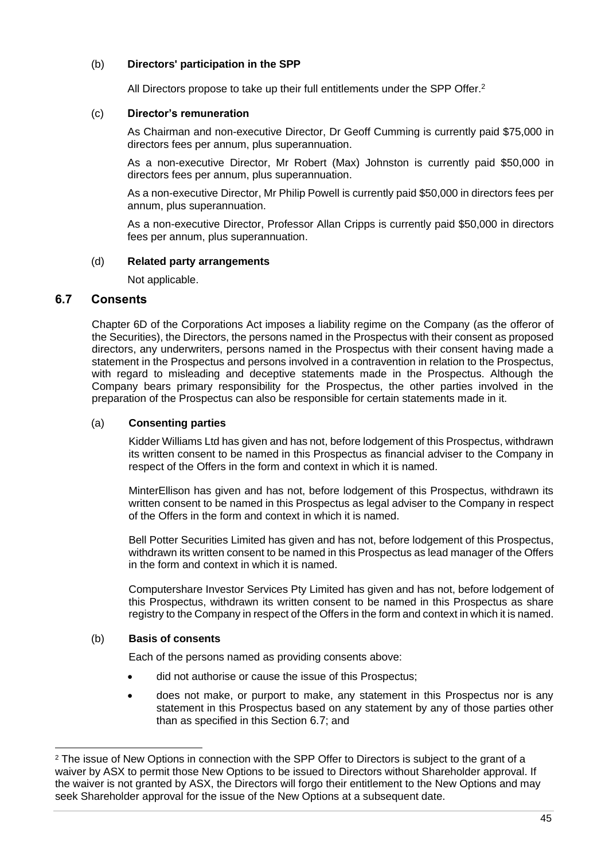#### (b) **Directors' participation in the SPP**

All Directors propose to take up their full entitlements under the SPP Offer.<sup>2</sup>

#### (c) **Director's remuneration**

As Chairman and non-executive Director, Dr Geoff Cumming is currently paid \$75,000 in directors fees per annum, plus superannuation.

As a non-executive Director, Mr Robert (Max) Johnston is currently paid \$50,000 in directors fees per annum, plus superannuation.

As a non-executive Director, Mr Philip Powell is currently paid \$50,000 in directors fees per annum, plus superannuation.

As a non-executive Director, Professor Allan Cripps is currently paid \$50,000 in directors fees per annum, plus superannuation.

#### (d) **Related party arrangements**

Not applicable.

#### <span id="page-46-0"></span>**6.7 Consents**

Chapter 6D of the Corporations Act imposes a liability regime on the Company (as the offeror of the Securities), the Directors, the persons named in the Prospectus with their consent as proposed directors, any underwriters, persons named in the Prospectus with their consent having made a statement in the Prospectus and persons involved in a contravention in relation to the Prospectus, with regard to misleading and deceptive statements made in the Prospectus. Although the Company bears primary responsibility for the Prospectus, the other parties involved in the preparation of the Prospectus can also be responsible for certain statements made in it.

#### (a) **Consenting parties**

Kidder Williams Ltd has given and has not, before lodgement of this Prospectus, withdrawn its written consent to be named in this Prospectus as financial adviser to the Company in respect of the Offers in the form and context in which it is named.

MinterEllison has given and has not, before lodgement of this Prospectus, withdrawn its written consent to be named in this Prospectus as legal adviser to the Company in respect of the Offers in the form and context in which it is named.

Bell Potter Securities Limited has given and has not, before lodgement of this Prospectus, withdrawn its written consent to be named in this Prospectus as lead manager of the Offers in the form and context in which it is named.

Computershare Investor Services Pty Limited has given and has not, before lodgement of this Prospectus, withdrawn its written consent to be named in this Prospectus as share registry to the Company in respect of the Offers in the form and context in which it is named.

#### (b) **Basis of consents**

Each of the persons named as providing consents above:

- did not authorise or cause the issue of this Prospectus;
- does not make, or purport to make, any statement in this Prospectus nor is any statement in this Prospectus based on any statement by any of those parties other than as specified in this Section [6.7](#page-46-0); and

<sup>&</sup>lt;sup>2</sup> The issue of New Options in connection with the SPP Offer to Directors is subject to the grant of a waiver by ASX to permit those New Options to be issued to Directors without Shareholder approval. If the waiver is not granted by ASX, the Directors will forgo their entitlement to the New Options and may seek Shareholder approval for the issue of the New Options at a subsequent date.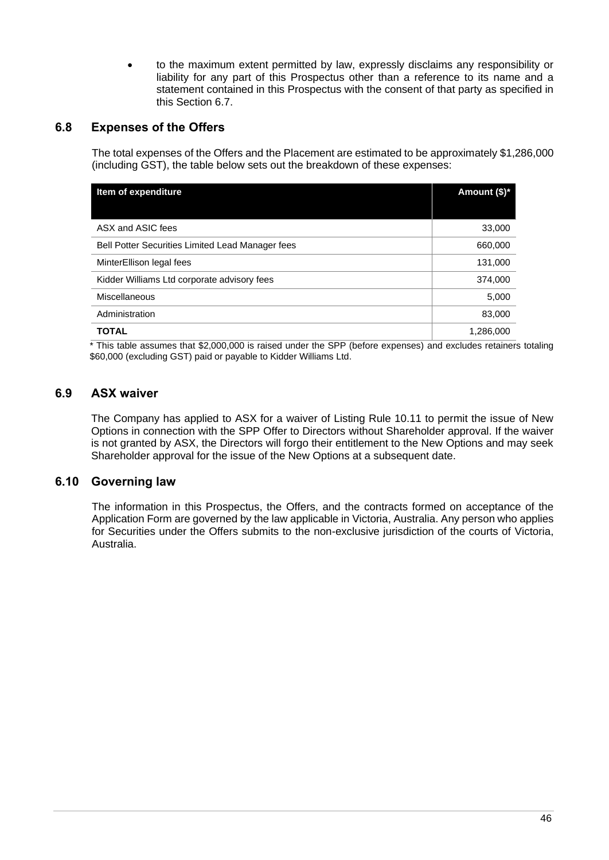• to the maximum extent permitted by law, expressly disclaims any responsibility or liability for any part of this Prospectus other than a reference to its name and a statement contained in this Prospectus with the consent of that party as specified in this Section [6.7.](#page-46-0)

#### <span id="page-47-0"></span>**6.8 Expenses of the Offers**

The total expenses of the Offers and the Placement are estimated to be approximately \$1,286,000 (including GST), the table below sets out the breakdown of these expenses:

| Item of expenditure                              | Amount (\$)* |
|--------------------------------------------------|--------------|
|                                                  |              |
| ASX and ASIC fees                                | 33,000       |
| Bell Potter Securities Limited Lead Manager fees | 660,000      |
| MinterEllison legal fees                         | 131,000      |
| Kidder Williams Ltd corporate advisory fees      | 374,000      |
| Miscellaneous                                    | 5,000        |
| Administration                                   | 83,000       |
| <b>TOTAL</b>                                     | 1,286,000    |

\* This table assumes that \$2,000,000 is raised under the SPP (before expenses) and excludes retainers totaling \$60,000 (excluding GST) paid or payable to Kidder Williams Ltd.

#### **6.9 ASX waiver**

The Company has applied to ASX for a waiver of Listing Rule 10.11 to permit the issue of New Options in connection with the SPP Offer to Directors without Shareholder approval. If the waiver is not granted by ASX, the Directors will forgo their entitlement to the New Options and may seek Shareholder approval for the issue of the New Options at a subsequent date.

#### **6.10 Governing law**

The information in this Prospectus, the Offers, and the contracts formed on acceptance of the Application Form are governed by the law applicable in Victoria, Australia. Any person who applies for Securities under the Offers submits to the non-exclusive jurisdiction of the courts of Victoria, Australia.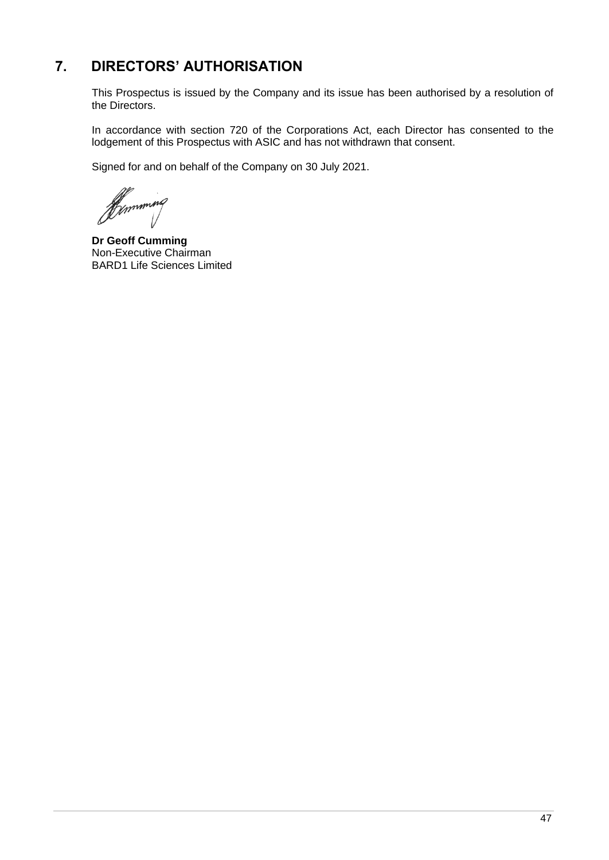## <span id="page-48-0"></span>**7. DIRECTORS' AUTHORISATION**

This Prospectus is issued by the Company and its issue has been authorised by a resolution of the Directors.

In accordance with section 720 of the Corporations Act, each Director has consented to the lodgement of this Prospectus with ASIC and has not withdrawn that consent.

Signed for and on behalf of the Company on 30 July 2021.

Dunming

**Dr Geoff Cumming** Non-Executive Chairman BARD1 Life Sciences Limited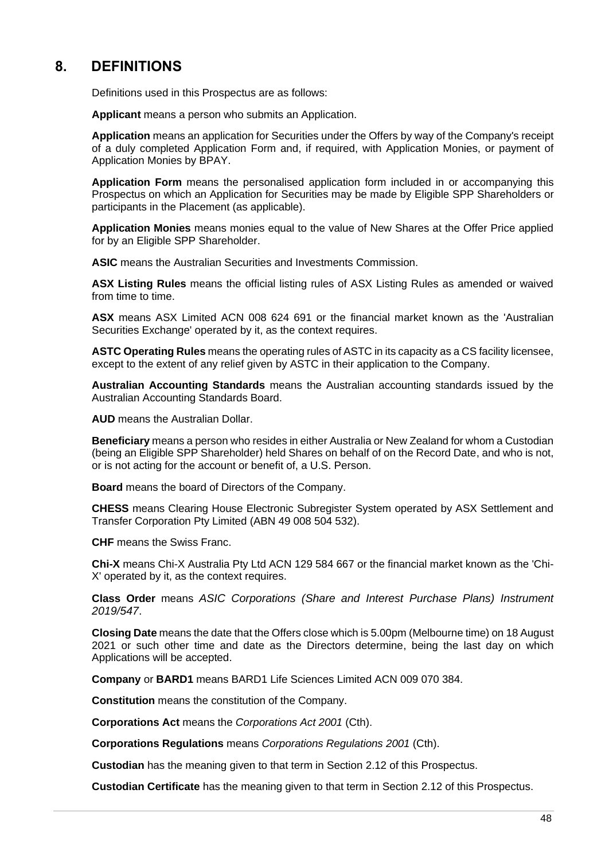## <span id="page-49-0"></span>**8. DEFINITIONS**

Definitions used in this Prospectus are as follows:

**Applicant** means a person who submits an Application.

**Application** means an application for Securities under the Offers by way of the Company's receipt of a duly completed Application Form and, if required, with Application Monies, or payment of Application Monies by BPAY.

**Application Form** means the personalised application form included in or accompanying this Prospectus on which an Application for Securities may be made by Eligible SPP Shareholders or participants in the Placement (as applicable).

**Application Monies** means monies equal to the value of New Shares at the Offer Price applied for by an Eligible SPP Shareholder.

**ASIC** means the Australian Securities and Investments Commission.

**ASX Listing Rules** means the official listing rules of ASX Listing Rules as amended or waived from time to time.

**ASX** means ASX Limited ACN 008 624 691 or the financial market known as the 'Australian Securities Exchange' operated by it, as the context requires.

**ASTC Operating Rules** means the operating rules of ASTC in its capacity as a CS facility licensee, except to the extent of any relief given by ASTC in their application to the Company.

**Australian Accounting Standards** means the Australian accounting standards issued by the Australian Accounting Standards Board.

**AUD** means the Australian Dollar.

**Beneficiary** means a person who resides in either Australia or New Zealand for whom a Custodian (being an Eligible SPP Shareholder) held Shares on behalf of on the Record Date, and who is not, or is not acting for the account or benefit of, a U.S. Person.

**Board** means the board of Directors of the Company.

**CHESS** means Clearing House Electronic Subregister System operated by ASX Settlement and Transfer Corporation Pty Limited (ABN 49 008 504 532).

**CHF** means the Swiss Franc.

**Chi-X** means Chi-X Australia Pty Ltd ACN 129 584 667 or the financial market known as the 'Chi-X' operated by it, as the context requires.

**Class Order** means *ASIC Corporations (Share and Interest Purchase Plans) Instrument 2019/547*.

**Closing Date** means the date that the Offers close which is 5.00pm (Melbourne time) on 18 August 2021 or such other time and date as the Directors determine, being the last day on which Applications will be accepted.

**Company** or **BARD1** means BARD1 Life Sciences Limited ACN 009 070 384.

**Constitution** means the constitution of the Company.

**Corporations Act** means the *Corporations Act 2001* (Cth).

**Corporations Regulations** means *Corporations Regulations 2001* (Cth).

**Custodian** has the meaning given to that term in Section [2.12](#page-19-0) of this Prospectus.

**Custodian Certificate** has the meaning given to that term in Section [2.12](#page-19-0) of this Prospectus.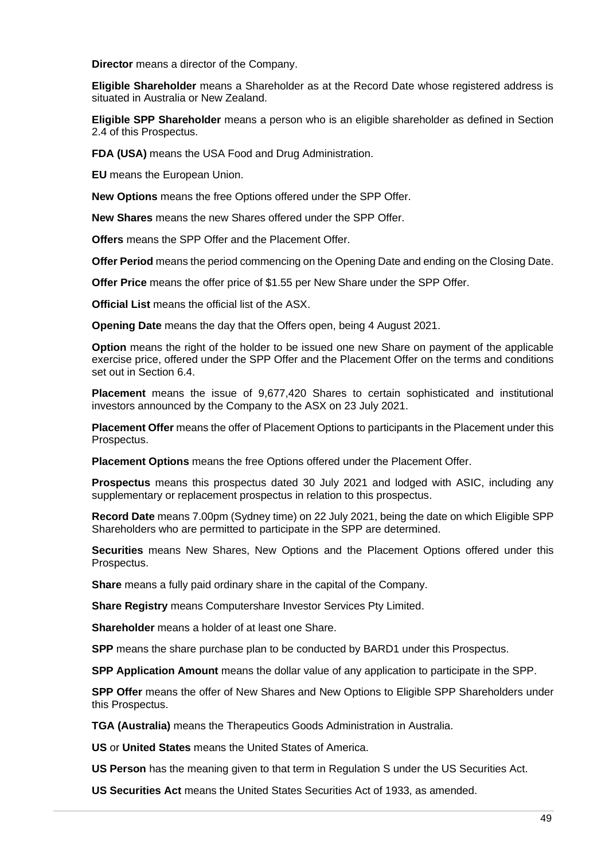**Director** means a director of the Company.

**Eligible Shareholder** means a Shareholder as at the Record Date whose registered address is situated in Australia or New Zealand.

**Eligible SPP Shareholder** means a person who is an eligible shareholder as defined in Section [2.4](#page-15-0) of this Prospectus.

**FDA (USA)** means the USA Food and Drug Administration.

**EU** means the European Union.

**New Options** means the free Options offered under the SPP Offer.

**New Shares** means the new Shares offered under the SPP Offer.

**Offers** means the SPP Offer and the Placement Offer.

**Offer Period** means the period commencing on the Opening Date and ending on the Closing Date.

**Offer Price** means the offer price of \$1.55 per New Share under the SPP Offer.

**Official List** means the official list of the ASX.

**Opening Date** means the day that the Offers open, being 4 August 2021.

**Option** means the right of the holder to be issued one new Share on payment of the applicable exercise price, offered under the SPP Offer and the Placement Offer on the terms and conditions set out in Section [6.4.](#page-43-0)

**Placement** means the issue of 9,677,420 Shares to certain sophisticated and institutional investors announced by the Company to the ASX on 23 July 2021.

**Placement Offer** means the offer of Placement Options to participants in the Placement under this Prospectus.

**Placement Options** means the free Options offered under the Placement Offer.

**Prospectus** means this prospectus dated 30 July 2021 and lodged with ASIC, including any supplementary or replacement prospectus in relation to this prospectus.

**Record Date** means 7.00pm (Sydney time) on 22 July 2021, being the date on which Eligible SPP Shareholders who are permitted to participate in the SPP are determined.

**Securities** means New Shares, New Options and the Placement Options offered under this Prospectus.

**Share** means a fully paid ordinary share in the capital of the Company.

**Share Registry** means Computershare Investor Services Pty Limited.

**Shareholder** means a holder of at least one Share.

**SPP** means the share purchase plan to be conducted by BARD1 under this Prospectus.

**SPP Application Amount** means the dollar value of any application to participate in the SPP.

**SPP Offer** means the offer of New Shares and New Options to Eligible SPP Shareholders under this Prospectus.

**TGA (Australia)** means the Therapeutics Goods Administration in Australia.

**US** or **United States** means the United States of America.

**US Person** has the meaning given to that term in Regulation S under the US Securities Act.

**US Securities Act** means the United States Securities Act of 1933, as amended.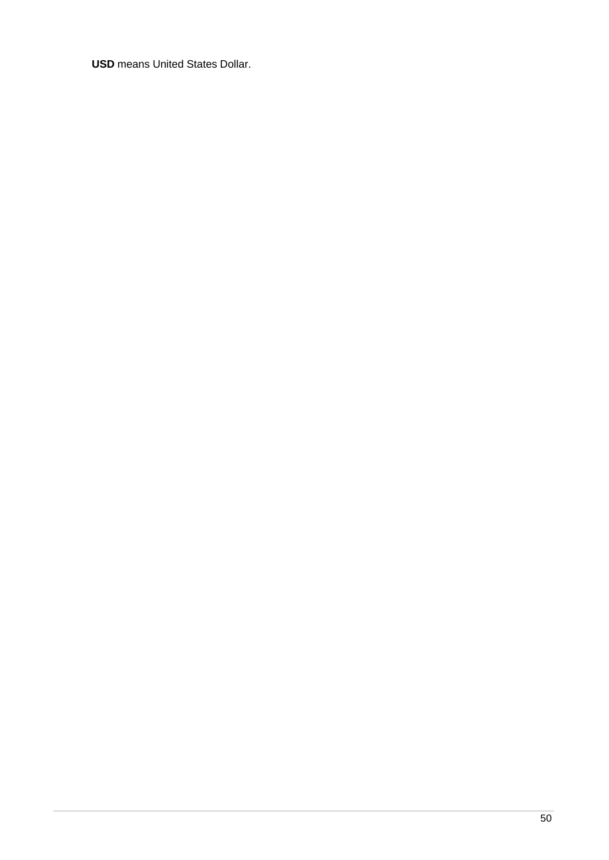**USD** means United States Dollar.